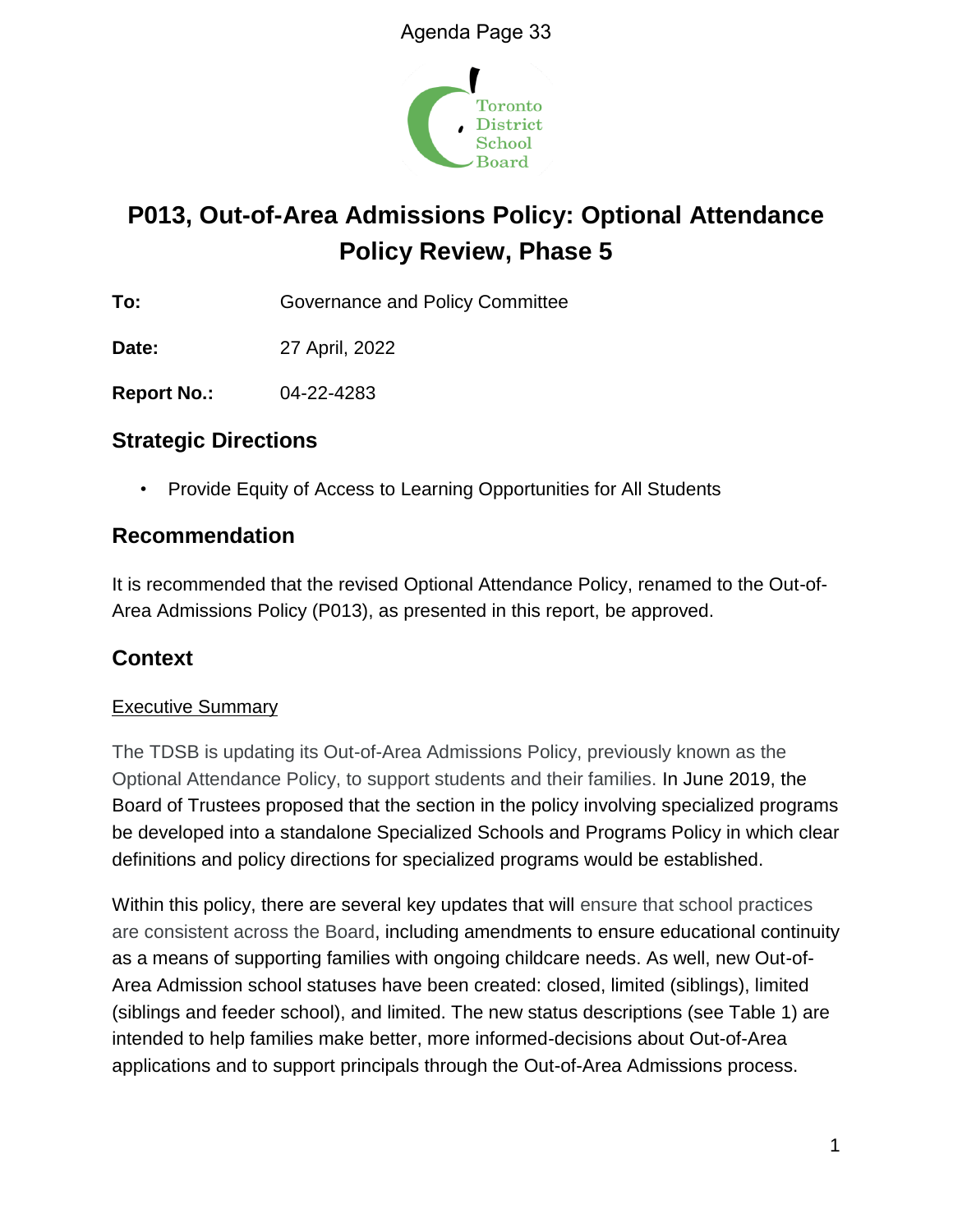

# **P013, Out-of-Area Admissions Policy: Optional Attendance Policy Review, Phase 5**

**To:** Governance and Policy Committee

**Date:** 27 April, 2022

**Report No.:** 04-22-4283

# **Strategic Directions**

• Provide Equity of Access to Learning Opportunities for All Students

# **Recommendation**

It is recommended that the revised Optional Attendance Policy, renamed to the Out-of-Area Admissions Policy (P013), as presented in this report, be approved.

# **Context**

## Executive Summary

The TDSB is updating its Out-of-Area Admissions Policy, previously known as the Optional Attendance Policy, to support students and their families. In June 2019, the Board of Trustees proposed that the section in the policy involving specialized programs be developed into a standalone Specialized Schools and Programs Policy in which clear definitions and policy directions for specialized programs would be established.

Within this policy, there are several key updates that will ensure that school practices are consistent across the Board, including amendments to ensure educational continuity as a means of supporting families with ongoing childcare needs. As well, new Out-of-Area Admission school statuses have been created: closed, limited (siblings), limited (siblings and feeder school), and limited. The new status descriptions (see Table 1) are intended to help families make better, more informed-decisions about Out-of-Area applications and to support principals through the Out-of-Area Admissions process.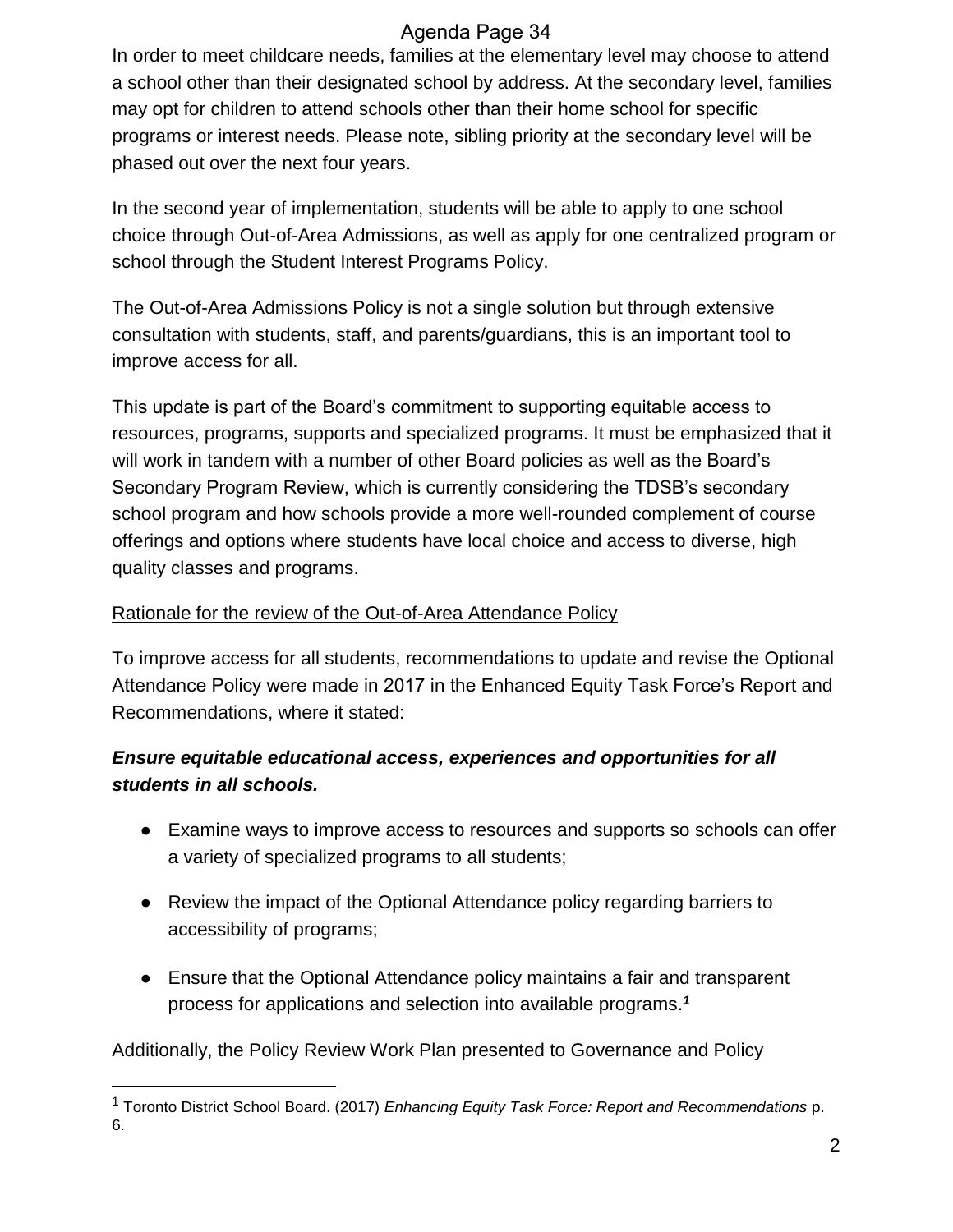In order to meet childcare needs, families at the elementary level may choose to attend a school other than their designated school by address. At the secondary level, families may opt for children to attend schools other than their home school for specific programs or interest needs. Please note, sibling priority at the secondary level will be phased out over the next four years.

In the second year of implementation, students will be able to apply to one school choice through Out-of-Area Admissions, as well as apply for one centralized program or school through the Student Interest Programs Policy.

The Out-of-Area Admissions Policy is not a single solution but through extensive consultation with students, staff, and parents/guardians, this is an important tool to improve access for all.

This update is part of the Board's commitment to supporting equitable access to resources, programs, supports and specialized programs. It must be emphasized that it will work in tandem with a number of other Board policies as well as the Board's Secondary Program Review, which is currently considering the TDSB's secondary school program and how schools provide a more well-rounded complement of course offerings and options where students have local choice and access to diverse, high quality classes and programs.

#### Rationale for the review of the Out-of-Area Attendance Policy

To improve access for all students, recommendations to update and revise the Optional Attendance Policy were made in 2017 in the Enhanced Equity Task Force's Report and Recommendations, where it stated:

# *Ensure equitable educational access, experiences and opportunities for all students in all schools.*

- Examine ways to improve access to resources and supports so schools can offer a variety of specialized programs to all students;
- Review the impact of the Optional Attendance policy regarding barriers to accessibility of programs;
- Ensure that the Optional Attendance policy maintains a fair and transparent process for applications and selection into available programs.*<sup>1</sup>*

Additionally, the Policy Review Work Plan presented to Governance and Policy

 $\overline{a}$ 

<sup>1</sup> Toronto District School Board. (2017) *Enhancing Equity Task Force: Report and Recommendations* p. 6.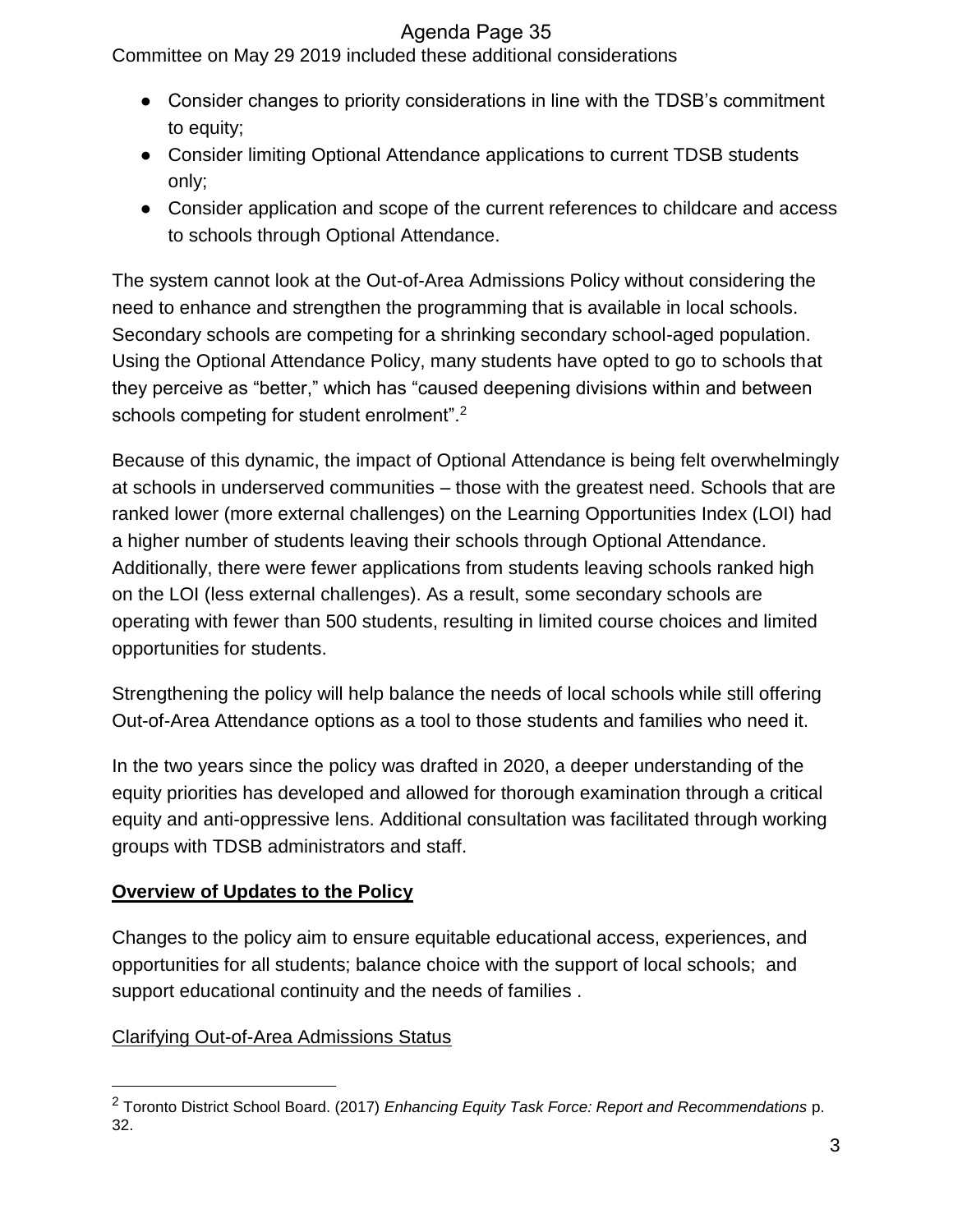Committee on May 29 2019 included these additional considerations

- Consider changes to priority considerations in line with the TDSB's commitment to equity;
- Consider limiting Optional Attendance applications to current TDSB students only;
- Consider application and scope of the current references to childcare and access to schools through Optional Attendance.

The system cannot look at the Out-of-Area Admissions Policy without considering the need to enhance and strengthen the programming that is available in local schools. Secondary schools are competing for a shrinking secondary school-aged population. Using the Optional Attendance Policy, many students have opted to go to schools that they perceive as "better," which has "caused deepening divisions within and between schools competing for student enrolment".<sup>2</sup>

Because of this dynamic, the impact of Optional Attendance is being felt overwhelmingly at schools in underserved communities – those with the greatest need. Schools that are ranked lower (more external challenges) on the Learning Opportunities Index (LOI) had a higher number of students leaving their schools through Optional Attendance. Additionally, there were fewer applications from students leaving schools ranked high on the LOI (less external challenges). As a result, some secondary schools are operating with fewer than 500 students, resulting in limited course choices and limited opportunities for students.

Strengthening the policy will help balance the needs of local schools while still offering Out-of-Area Attendance options as a tool to those students and families who need it.

In the two years since the policy was drafted in 2020, a deeper understanding of the equity priorities has developed and allowed for thorough examination through a critical equity and anti-oppressive lens. Additional consultation was facilitated through working groups with TDSB administrators and staff.

# **Overview of Updates to the Policy**

Changes to the policy aim to ensure equitable educational access, experiences, and opportunities for all students; balance choice with the support of local schools; and support educational continuity and the needs of families .

# Clarifying Out-of-Area Admissions Status

 $\overline{a}$ 

<sup>2</sup> Toronto District School Board. (2017) *Enhancing Equity Task Force: Report and Recommendations* p. 32.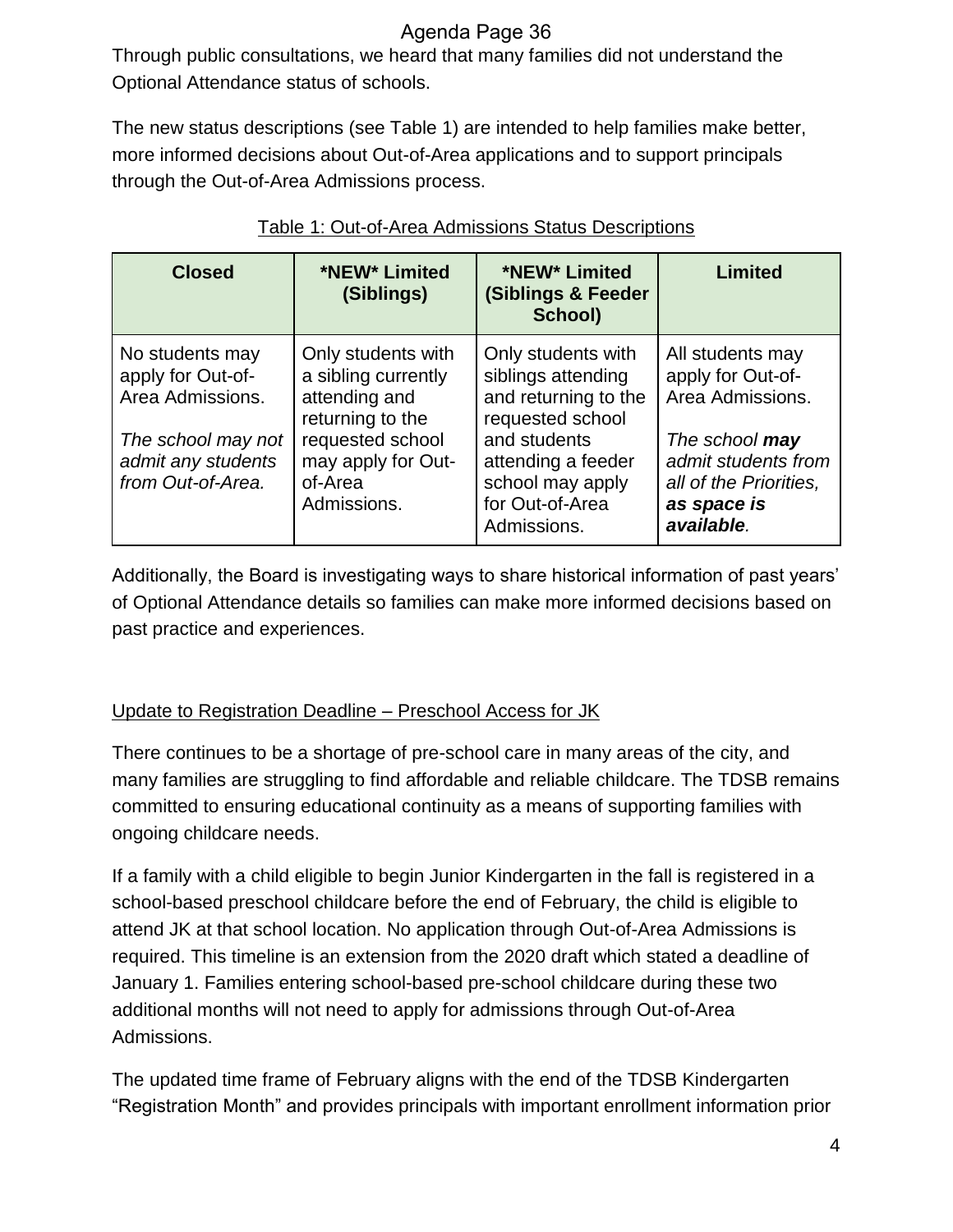Through public consultations, we heard that many families did not understand the Optional Attendance status of schools.

The new status descriptions (see Table 1) are intended to help families make better, more informed decisions about Out-of-Area applications and to support principals through the Out-of-Area Admissions process.

| <b>Closed</b>                                                                                                             | *NEW* Limited<br>(Siblings)                                                                                                                        | *NEW* Limited<br><b>(Siblings &amp; Feeder</b><br>School)                                                                                                                        | <b>Limited</b>                                                                                                                                            |
|---------------------------------------------------------------------------------------------------------------------------|----------------------------------------------------------------------------------------------------------------------------------------------------|----------------------------------------------------------------------------------------------------------------------------------------------------------------------------------|-----------------------------------------------------------------------------------------------------------------------------------------------------------|
| No students may<br>apply for Out-of-<br>Area Admissions.<br>The school may not<br>admit any students<br>from Out-of-Area. | Only students with<br>a sibling currently<br>attending and<br>returning to the<br>requested school<br>may apply for Out-<br>of-Area<br>Admissions. | Only students with<br>siblings attending<br>and returning to the<br>requested school<br>and students<br>attending a feeder<br>school may apply<br>for Out-of-Area<br>Admissions. | All students may<br>apply for Out-of-<br>Area Admissions.<br>The school may<br>admit students from<br>all of the Priorities,<br>as space is<br>available. |

## Table 1: Out-of-Area Admissions Status Descriptions

Additionally, the Board is investigating ways to share historical information of past years' of Optional Attendance details so families can make more informed decisions based on past practice and experiences.

## Update to Registration Deadline – Preschool Access for JK

There continues to be a shortage of pre-school care in many areas of the city, and many families are struggling to find affordable and reliable childcare. The TDSB remains committed to ensuring educational continuity as a means of supporting families with ongoing childcare needs.

If a family with a child eligible to begin Junior Kindergarten in the fall is registered in a school-based preschool childcare before the end of February, the child is eligible to attend JK at that school location. No application through Out-of-Area Admissions is required. This timeline is an extension from the 2020 draft which stated a deadline of January 1. Families entering school-based pre-school childcare during these two additional months will not need to apply for admissions through Out-of-Area Admissions.

The updated time frame of February aligns with the end of the TDSB Kindergarten "Registration Month" and provides principals with important enrollment information prior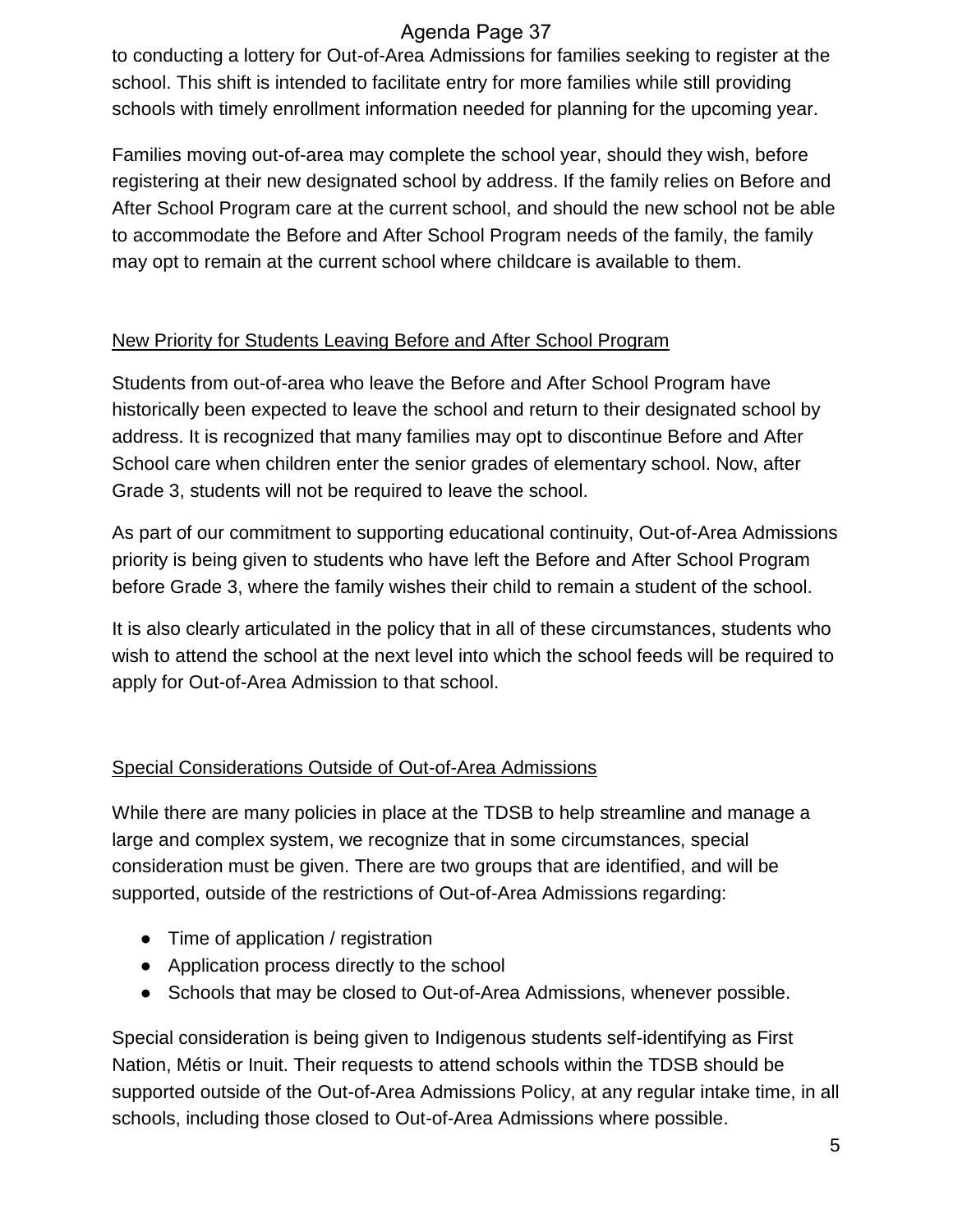to conducting a lottery for Out-of-Area Admissions for families seeking to register at the school. This shift is intended to facilitate entry for more families while still providing schools with timely enrollment information needed for planning for the upcoming year.

Families moving out-of-area may complete the school year, should they wish, before registering at their new designated school by address. If the family relies on Before and After School Program care at the current school, and should the new school not be able to accommodate the Before and After School Program needs of the family, the family may opt to remain at the current school where childcare is available to them.

## New Priority for Students Leaving Before and After School Program

Students from out-of-area who leave the Before and After School Program have historically been expected to leave the school and return to their designated school by address. It is recognized that many families may opt to discontinue Before and After School care when children enter the senior grades of elementary school. Now, after Grade 3, students will not be required to leave the school.

As part of our commitment to supporting educational continuity, Out-of-Area Admissions priority is being given to students who have left the Before and After School Program before Grade 3, where the family wishes their child to remain a student of the school.

It is also clearly articulated in the policy that in all of these circumstances, students who wish to attend the school at the next level into which the school feeds will be required to apply for Out-of-Area Admission to that school.

## Special Considerations Outside of Out-of-Area Admissions

While there are many policies in place at the TDSB to help streamline and manage a large and complex system, we recognize that in some circumstances, special consideration must be given. There are two groups that are identified, and will be supported, outside of the restrictions of Out-of-Area Admissions regarding:

- Time of application / registration
- Application process directly to the school
- Schools that may be closed to Out-of-Area Admissions, whenever possible.

Special consideration is being given to Indigenous students self-identifying as First Nation, Métis or Inuit. Their requests to attend schools within the TDSB should be supported outside of the Out-of-Area Admissions Policy, at any regular intake time, in all schools, including those closed to Out-of-Area Admissions where possible.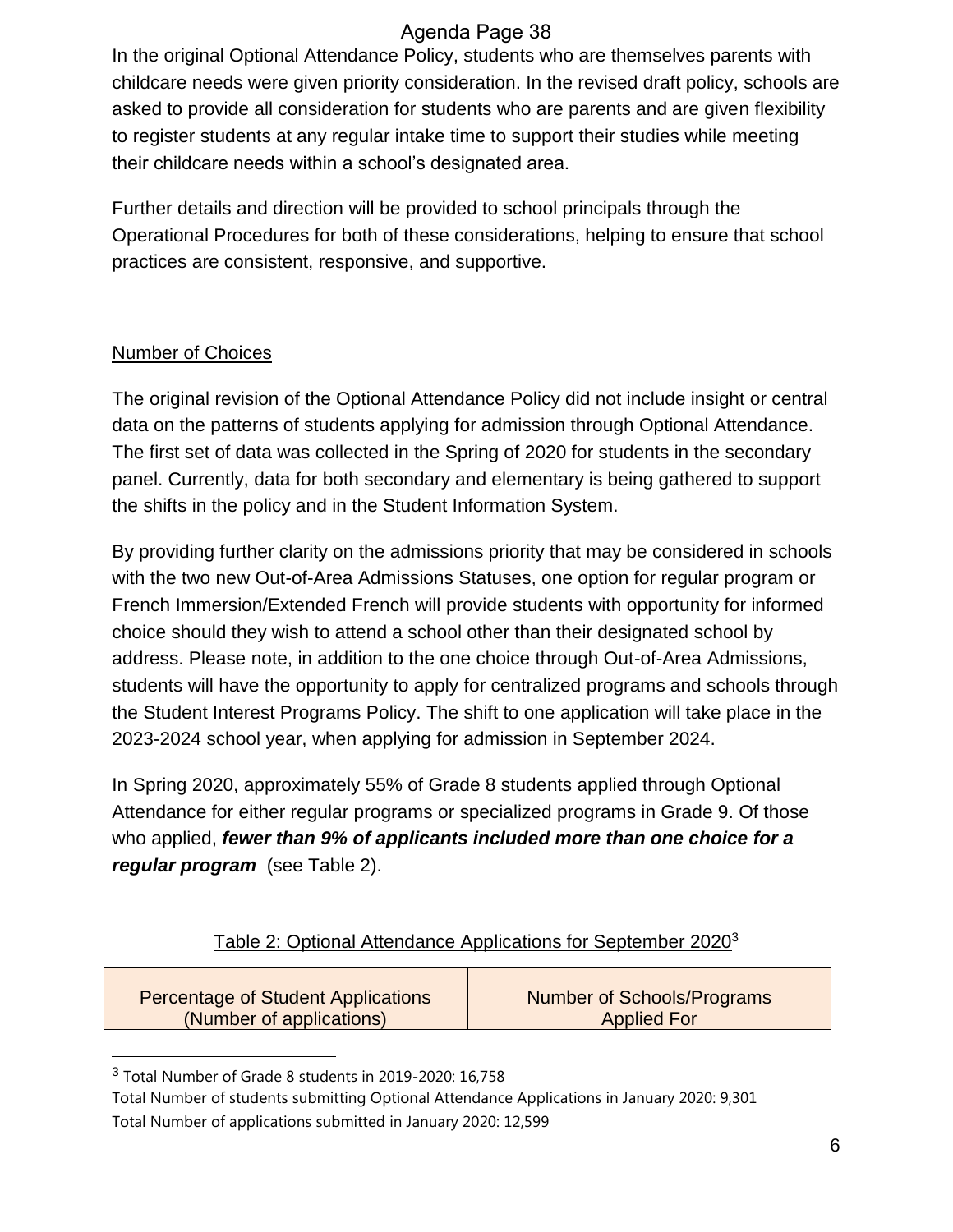In the original Optional Attendance Policy, students who are themselves parents with childcare needs were given priority consideration. In the revised draft policy, schools are asked to provide all consideration for students who are parents and are given flexibility to register students at any regular intake time to support their studies while meeting their childcare needs within a school's designated area.

Further details and direction will be provided to school principals through the Operational Procedures for both of these considerations, helping to ensure that school practices are consistent, responsive, and supportive.

## Number of Choices

The original revision of the Optional Attendance Policy did not include insight or central data on the patterns of students applying for admission through Optional Attendance. The first set of data was collected in the Spring of 2020 for students in the secondary panel. Currently, data for both secondary and elementary is being gathered to support the shifts in the policy and in the Student Information System.

By providing further clarity on the admissions priority that may be considered in schools with the two new Out-of-Area Admissions Statuses, one option for regular program or French Immersion/Extended French will provide students with opportunity for informed choice should they wish to attend a school other than their designated school by address. Please note, in addition to the one choice through Out-of-Area Admissions, students will have the opportunity to apply for centralized programs and schools through the Student Interest Programs Policy. The shift to one application will take place in the 2023-2024 school year, when applying for admission in September 2024.

In Spring 2020, approximately 55% of Grade 8 students applied through Optional Attendance for either regular programs or specialized programs in Grade 9. Of those who applied, *fewer than 9% of applicants included more than one choice for a regular program* (see Table 2).

# Table 2: Optional Attendance Applications for September 2020<sup>3</sup>

| Percentage of Student Applications | <b>Number of Schools/Programs</b> |
|------------------------------------|-----------------------------------|
| (Number of applications)           | <b>Applied For</b>                |

<sup>&</sup>lt;sup>3</sup> Total Number of Grade 8 students in 2019-2020: 16,758

 $\overline{a}$ 

Total Number of students submitting Optional Attendance Applications in January 2020: 9,301 Total Number of applications submitted in January 2020: 12,599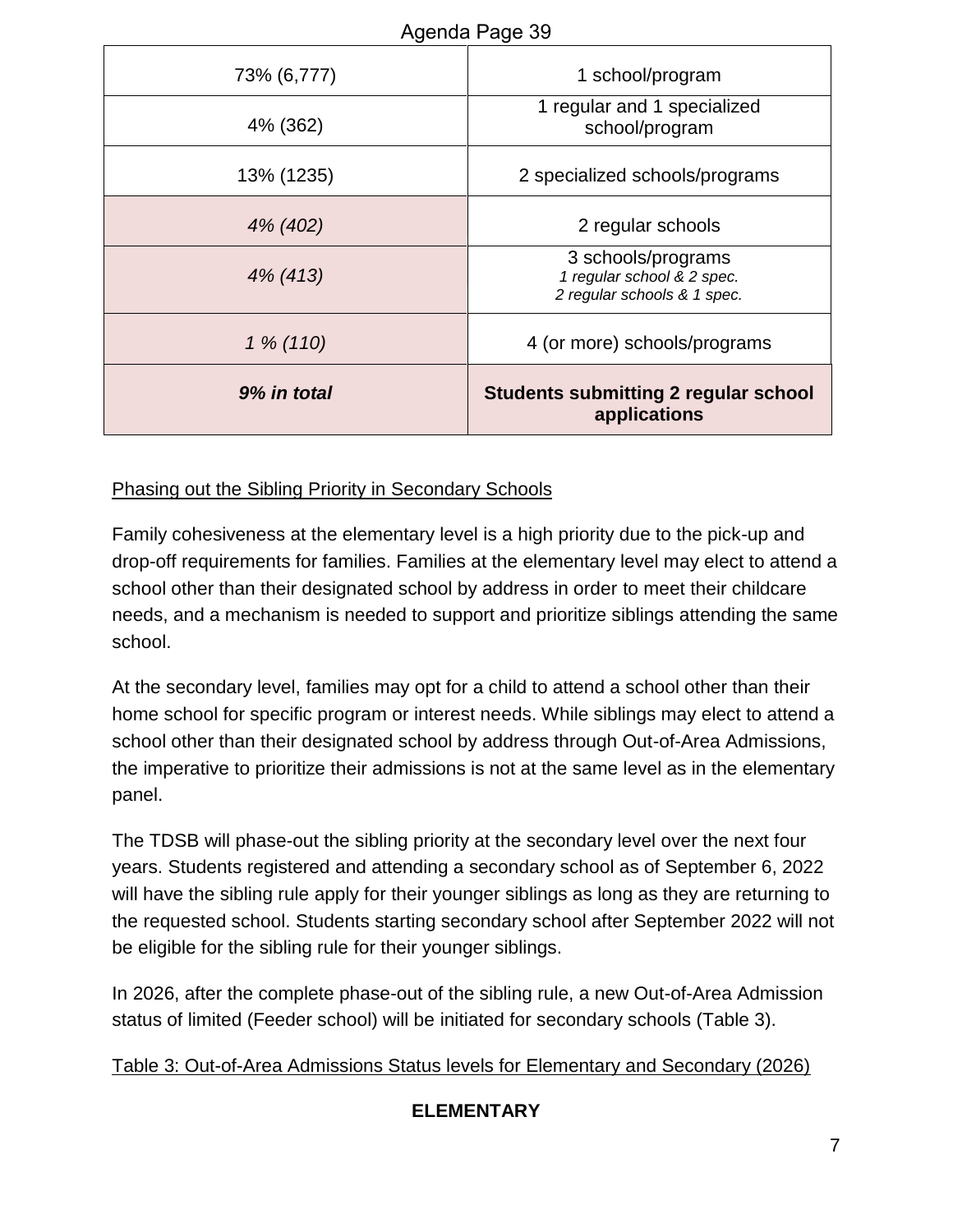|             | Aydriud Fayd 39                                                                 |
|-------------|---------------------------------------------------------------------------------|
| 73% (6,777) | 1 school/program                                                                |
| 4% (362)    | 1 regular and 1 specialized<br>school/program                                   |
| 13% (1235)  | 2 specialized schools/programs                                                  |
| 4% (402)    | 2 regular schools                                                               |
| 4% (413)    | 3 schools/programs<br>1 regular school & 2 spec.<br>2 regular schools & 1 spec. |
| $1\% (110)$ | 4 (or more) schools/programs                                                    |
| 9% in total | <b>Students submitting 2 regular school</b><br>applications                     |

#### Phasing out the Sibling Priority in Secondary Schools

Family cohesiveness at the elementary level is a high priority due to the pick-up and drop-off requirements for families. Families at the elementary level may elect to attend a school other than their designated school by address in order to meet their childcare needs, and a mechanism is needed to support and prioritize siblings attending the same school.

At the secondary level, families may opt for a child to attend a school other than their home school for specific program or interest needs. While siblings may elect to attend a school other than their designated school by address through Out-of-Area Admissions, the imperative to prioritize their admissions is not at the same level as in the elementary panel.

The TDSB will phase-out the sibling priority at the secondary level over the next four years. Students registered and attending a secondary school as of September 6, 2022 will have the sibling rule apply for their younger siblings as long as they are returning to the requested school. Students starting secondary school after September 2022 will not be eligible for the sibling rule for their younger siblings.

In 2026, after the complete phase-out of the sibling rule, a new Out-of-Area Admission status of limited (Feeder school) will be initiated for secondary schools (Table 3).

#### Table 3: Out-of-Area Admissions Status levels for Elementary and Secondary (2026)

## **ELEMENTARY**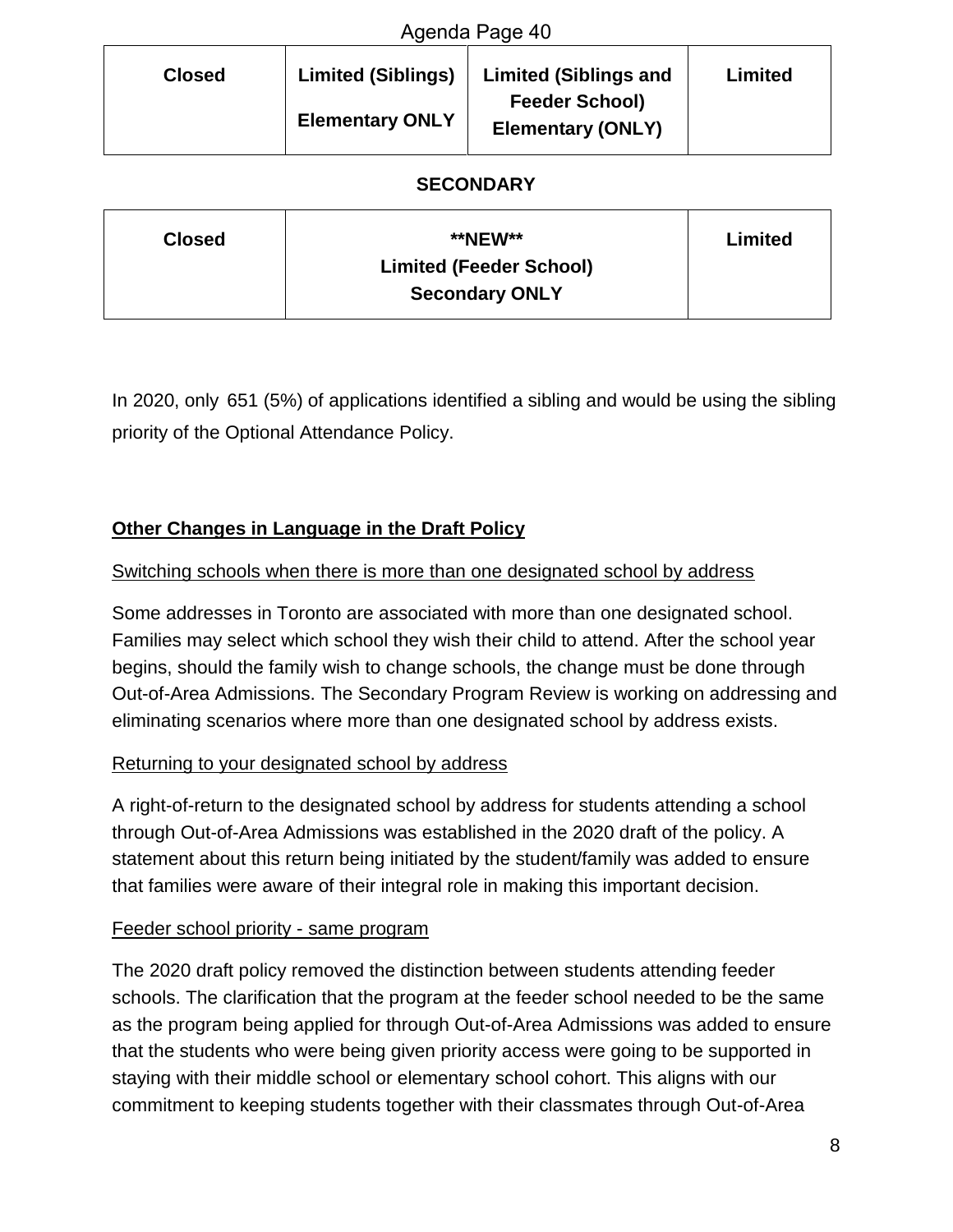| Agenda Page 40 |                                                     |                                                                                   |         |
|----------------|-----------------------------------------------------|-----------------------------------------------------------------------------------|---------|
| <b>Closed</b>  | <b>Limited (Siblings)</b><br><b>Elementary ONLY</b> | <b>Limited (Siblings and</b><br><b>Feeder School)</b><br><b>Elementary (ONLY)</b> | Limited |
|                |                                                     |                                                                                   |         |

#### **SECONDARY**

| <b>Closed</b> | <b>**NEW**</b>                 | Limited |
|---------------|--------------------------------|---------|
|               | <b>Limited (Feeder School)</b> |         |
|               | <b>Secondary ONLY</b>          |         |

In 2020, only 651 (5%) of applications identified a sibling and would be using the sibling priority of the Optional Attendance Policy.

## **Other Changes in Language in the Draft Policy**

#### Switching schools when there is more than one designated school by address

Some addresses in Toronto are associated with more than one designated school. Families may select which school they wish their child to attend. After the school year begins, should the family wish to change schools, the change must be done through Out-of-Area Admissions. The Secondary Program Review is working on addressing and eliminating scenarios where more than one designated school by address exists.

#### Returning to your designated school by address

A right-of-return to the designated school by address for students attending a school through Out-of-Area Admissions was established in the 2020 draft of the policy. A statement about this return being initiated by the student/family was added to ensure that families were aware of their integral role in making this important decision.

#### Feeder school priority - same program

The 2020 draft policy removed the distinction between students attending feeder schools. The clarification that the program at the feeder school needed to be the same as the program being applied for through Out-of-Area Admissions was added to ensure that the students who were being given priority access were going to be supported in staying with their middle school or elementary school cohort. This aligns with our commitment to keeping students together with their classmates through Out-of-Area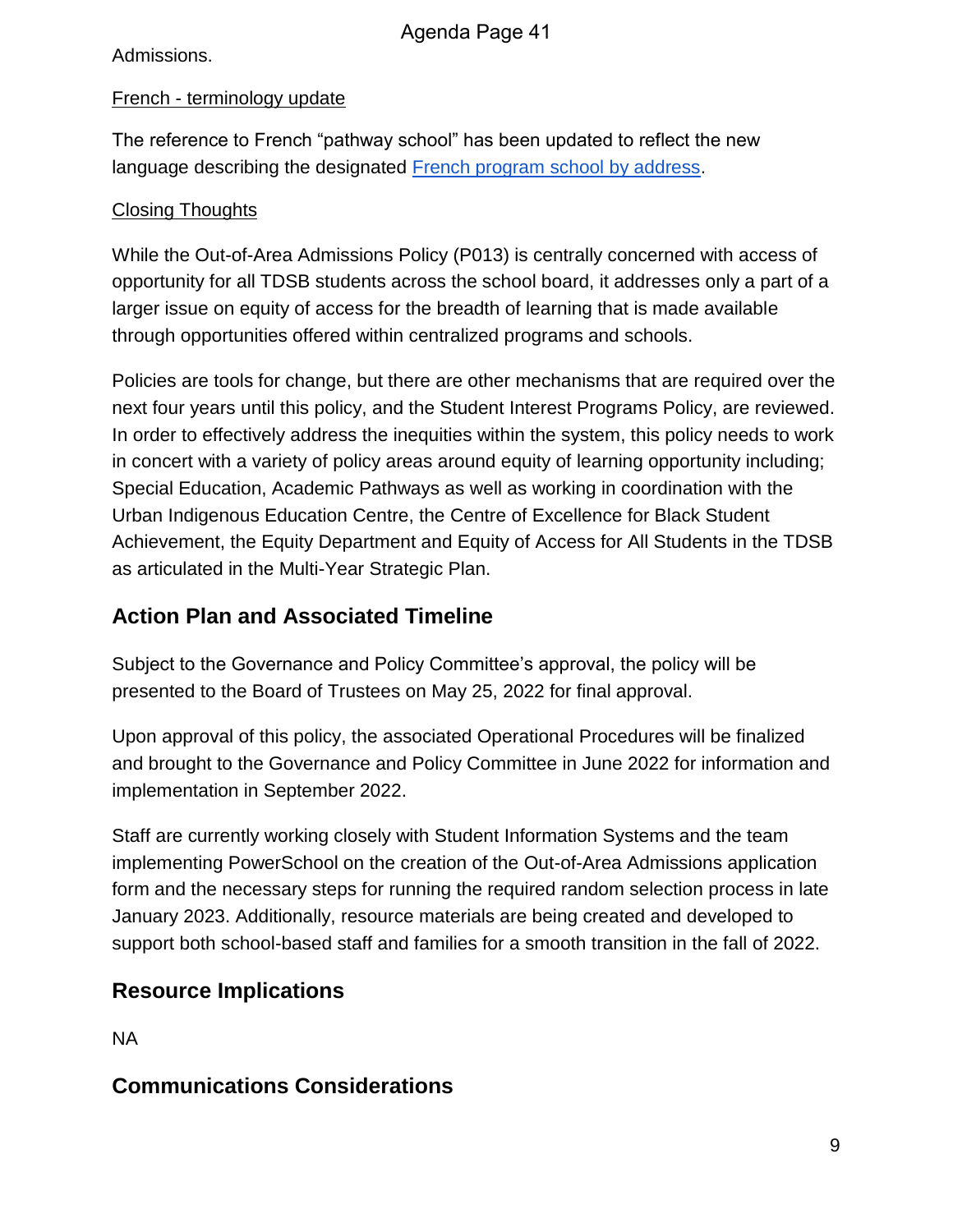Admissions.

#### French - terminology update

The reference to French "pathway school" has been updated to reflect the new language describing the designated French program school by address.

## Closing Thoughts

While the Out-of-Area Admissions Policy (P013) is centrally concerned with access of opportunity for all TDSB students across the school board, it addresses only a part of a larger issue on equity of access for the breadth of learning that is made available through opportunities offered within centralized programs and schools.

Policies are tools for change, but there are other mechanisms that are required over the next four years until this policy, and the Student Interest Programs Policy, are reviewed. In order to effectively address the inequities within the system, this policy needs to work in concert with a variety of policy areas around equity of learning opportunity including; Special Education, Academic Pathways as well as working in coordination with the Urban Indigenous Education Centre, the Centre of Excellence for Black Student Achievement, the Equity Department and Equity of Access for All Students in the TDSB as articulated in the Multi-Year Strategic Plan.

# **Action Plan and Associated Timeline**

Subject to the Governance and Policy Committee's approval, the policy will be presented to the Board of Trustees on May 25, 2022 for final approval.

Upon approval of this policy, the associated Operational Procedures will be finalized and brought to the Governance and Policy Committee in June 2022 for information and implementation in September 2022.

Staff are currently working closely with Student Information Systems and the team implementing PowerSchool on the creation of the Out-of-Area Admissions application form and the necessary steps for running the required random selection process in late January 2023. Additionally, resource materials are being created and developed to support both school-based staff and families for a smooth transition in the fall of 2022.

# **Resource Implications**

NA

# **Communications Considerations**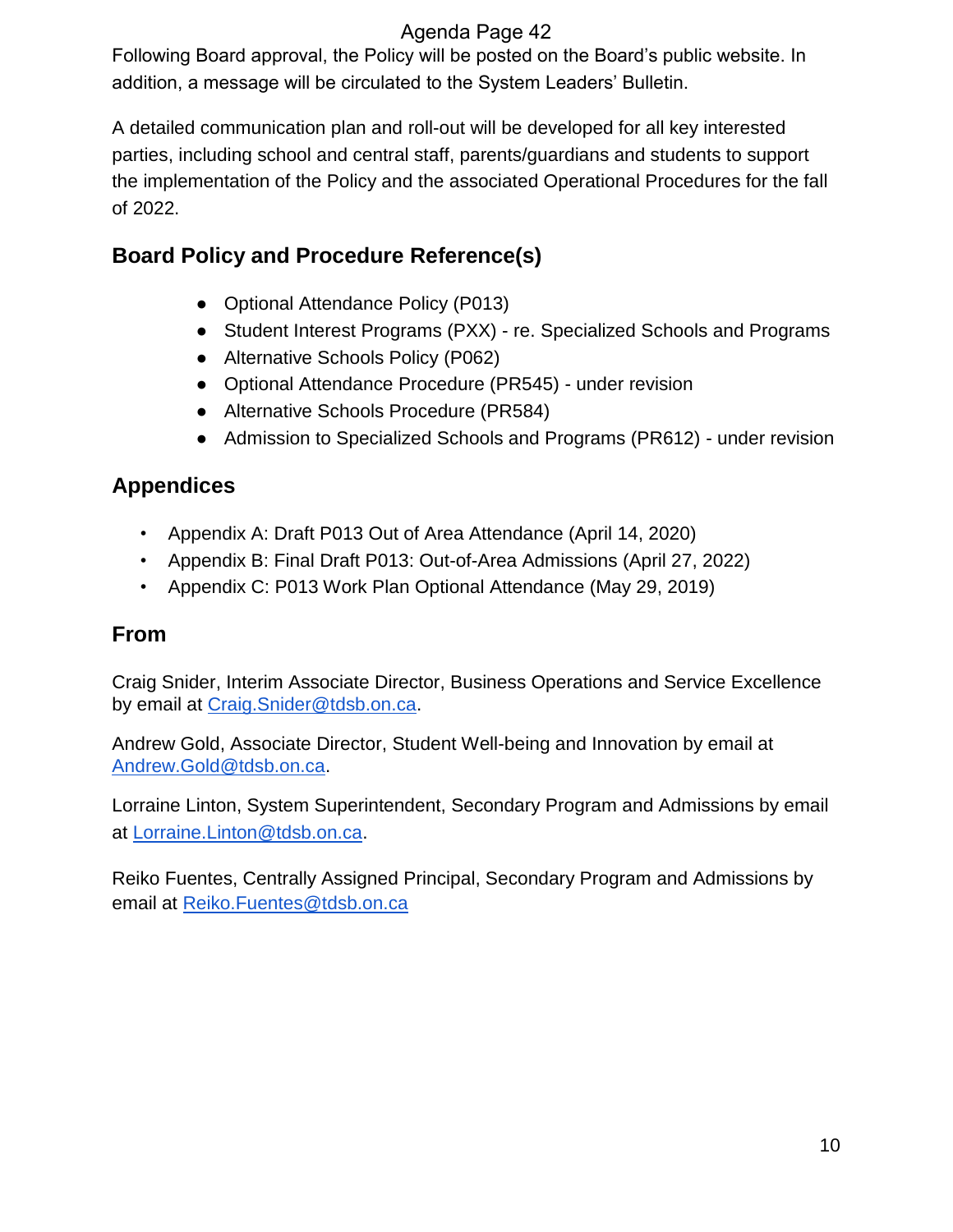Following Board approval, the Policy will be posted on the Board's public website. In addition, a message will be circulated to the System Leaders' Bulletin.

A detailed communication plan and roll-out will be developed for all key interested parties, including school and central staff, parents/guardians and students to support the implementation of the Policy and the associated Operational Procedures for the fall of 2022.

# **Board Policy and Procedure Reference(s)**

- Optional Attendance Policy (P013)
- Student Interest Programs (PXX) re. Specialized Schools and Programs
- Alternative Schools Policy (P062)
- Optional Attendance Procedure (PR545) under revision
- Alternative Schools Procedure (PR584)
- Admission to Specialized Schools and Programs (PR612) under revision

# **Appendices**

- Appendix A: Draft P013 Out of Area Attendance (April 14, 2020)
- Appendix B: Final Draft P013: Out-of-Area Admissions (April 27, 2022)
- Appendix C: P013 Work Plan Optional Attendance (May 29, 2019)

# **From**

Craig Snider, Interim Associate Director, Business Operations and Service Excellence by email at Craig.Snider@tdsb.on.ca.

Andrew Gold, Associate Director, Student Well-being and Innovation by email at Andrew.Gold@tdsb.on.ca.

Lorraine Linton, System Superintendent, Secondary Program and Admissions by email at Lorraine.Linton@tdsb.on.ca.

Reiko Fuentes, Centrally Assigned Principal, Secondary Program and Admissions by email at Reiko.Fuentes@tdsb.on.ca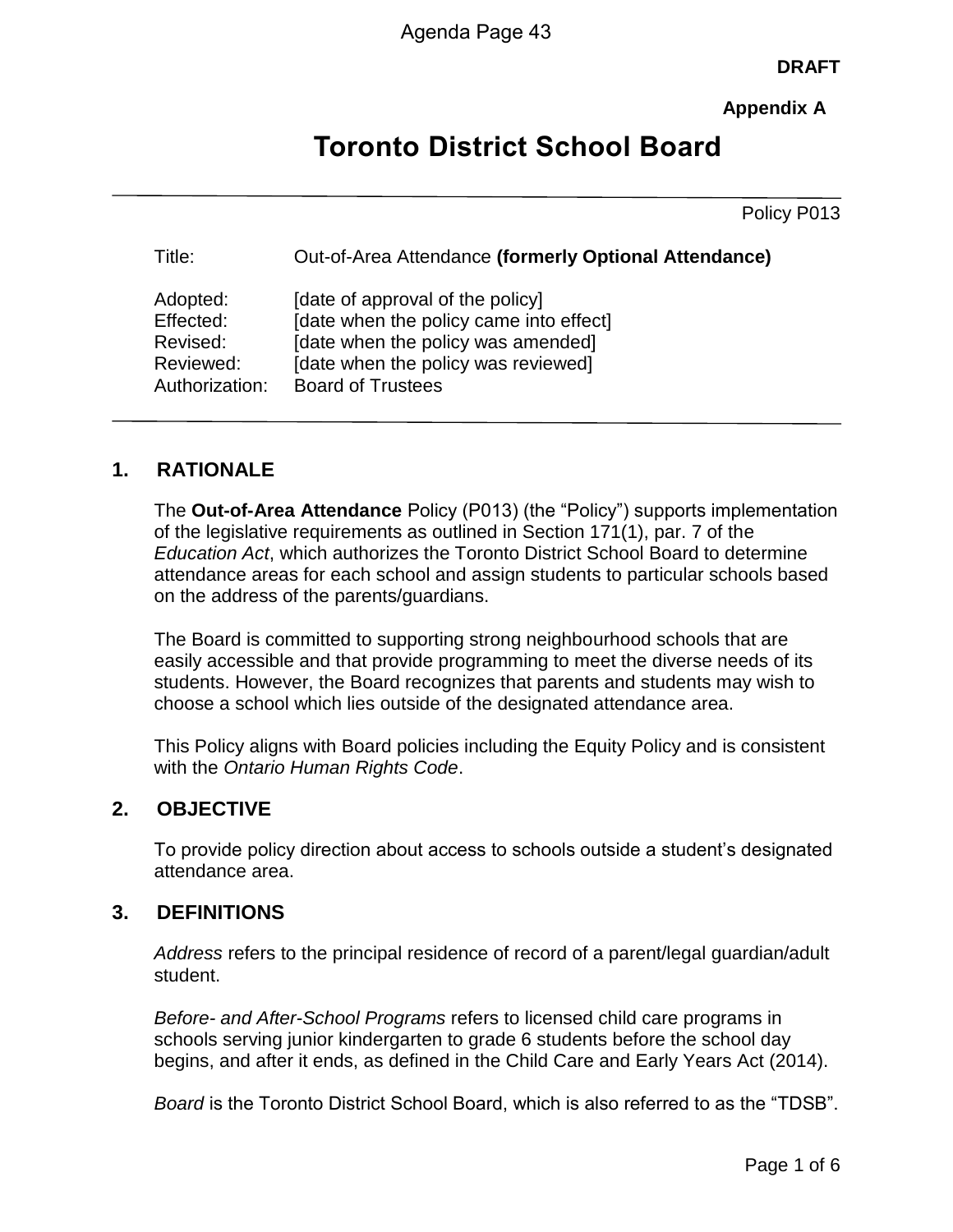**DRAFT**

**Appendix A**

# **Toronto District School Board**

Policy P013

| Title:         | Out-of-Area Attendance (formerly Optional Attendance) |
|----------------|-------------------------------------------------------|
| Adopted:       | [date of approval of the policy]                      |
| Effected:      | [date when the policy came into effect]               |
| Revised:       | [date when the policy was amended]                    |
| Reviewed:      | [date when the policy was reviewed]                   |
| Authorization: | <b>Board of Trustees</b>                              |

## **1. RATIONALE**

The **Out-of-Area Attendance** Policy (P013) (the "Policy") supports implementation of the legislative requirements as outlined in Section 171(1), par. 7 of the *Education Act*, which authorizes the Toronto District School Board to determine attendance areas for each school and assign students to particular schools based on the address of the parents/guardians.

The Board is committed to supporting strong neighbourhood schools that are easily accessible and that provide programming to meet the diverse needs of its students. However, the Board recognizes that parents and students may wish to choose a school which lies outside of the designated attendance area.

This Policy aligns with Board policies including the Equity Policy and is consistent with the *Ontario Human Rights Code*.

## **2. OBJECTIVE**

To provide policy direction about access to schools outside a student's designated attendance area.

#### **3. DEFINITIONS**

*Address* refers to the principal residence of record of a parent/legal guardian/adult student.

*Before- and After-School Programs* refers to licensed child care programs in schools serving junior kindergarten to grade 6 students before the school day begins, and after it ends, as defined in the Child Care and Early Years Act (2014).

*Board* is the Toronto District School Board, which is also referred to as the "TDSB".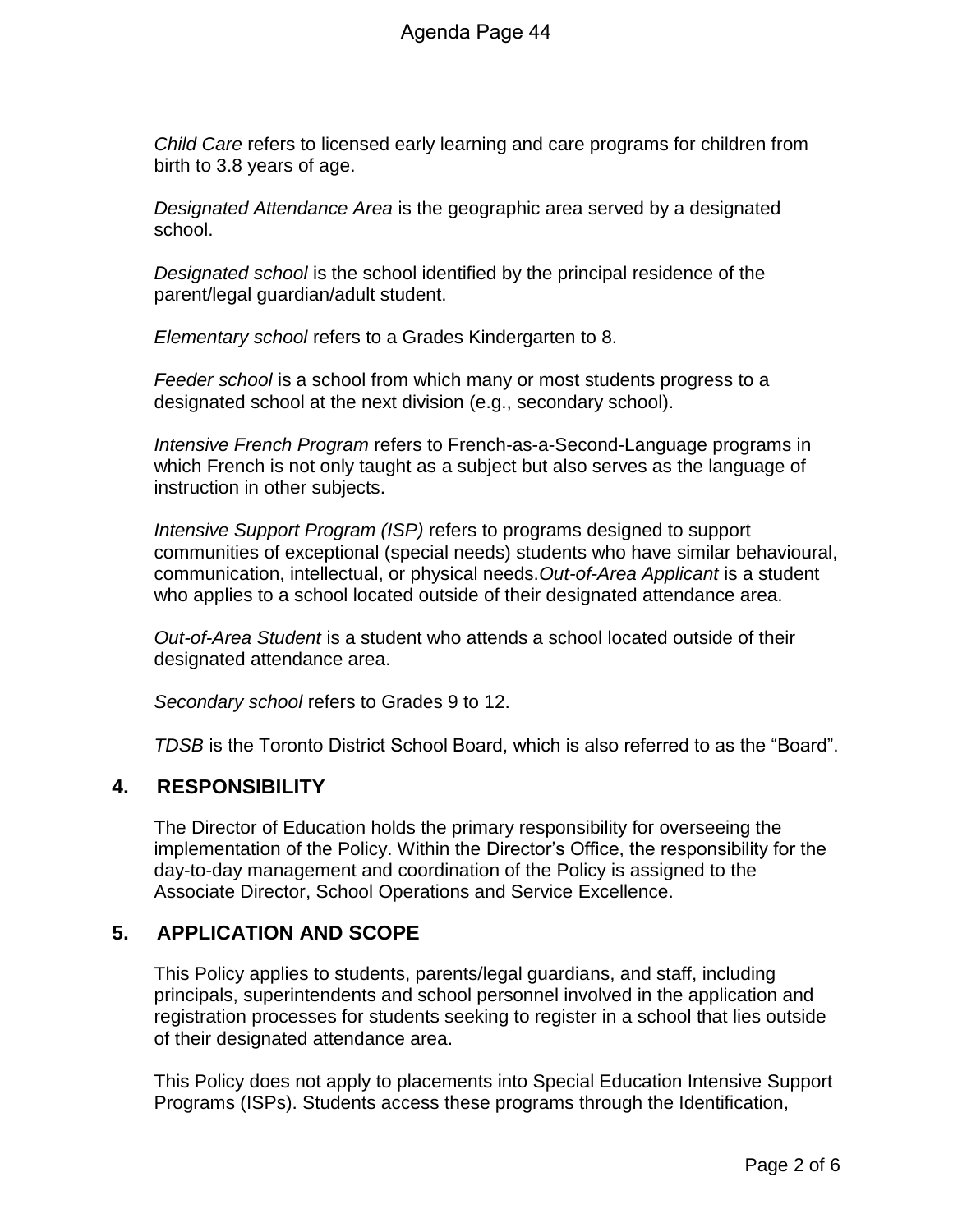*Child Care* refers to licensed early learning and care programs for children from birth to 3.8 years of age.

*Designated Attendance Area* is the geographic area served by a designated school.

*Designated school* is the school identified by the principal residence of the parent/legal guardian/adult student.

*Elementary school* refers to a Grades Kindergarten to 8.

*Feeder school* is a school from which many or most students progress to a designated school at the next division (e.g., secondary school).

*Intensive French Program* refers to French-as-a-Second-Language programs in which French is not only taught as a subject but also serves as the language of instruction in other subjects.

*Intensive Support Program (ISP)* refers to programs designed to support communities of exceptional (special needs) students who have similar behavioural, communication, intellectual, or physical needs.*Out-of-Area Applicant* is a student who applies to a school located outside of their designated attendance area.

*Out-of-Area Student* is a student who attends a school located outside of their designated attendance area.

*Secondary school* refers to Grades 9 to 12.

*TDSB* is the Toronto District School Board, which is also referred to as the "Board".

## **4. RESPONSIBILITY**

The Director of Education holds the primary responsibility for overseeing the implementation of the Policy. Within the Director's Office, the responsibility for the day-to-day management and coordination of the Policy is assigned to the Associate Director, School Operations and Service Excellence.

## **5. APPLICATION AND SCOPE**

This Policy applies to students, parents/legal guardians, and staff, including principals, superintendents and school personnel involved in the application and registration processes for students seeking to register in a school that lies outside of their designated attendance area.

This Policy does not apply to placements into Special Education Intensive Support Programs (ISPs). Students access these programs through the Identification,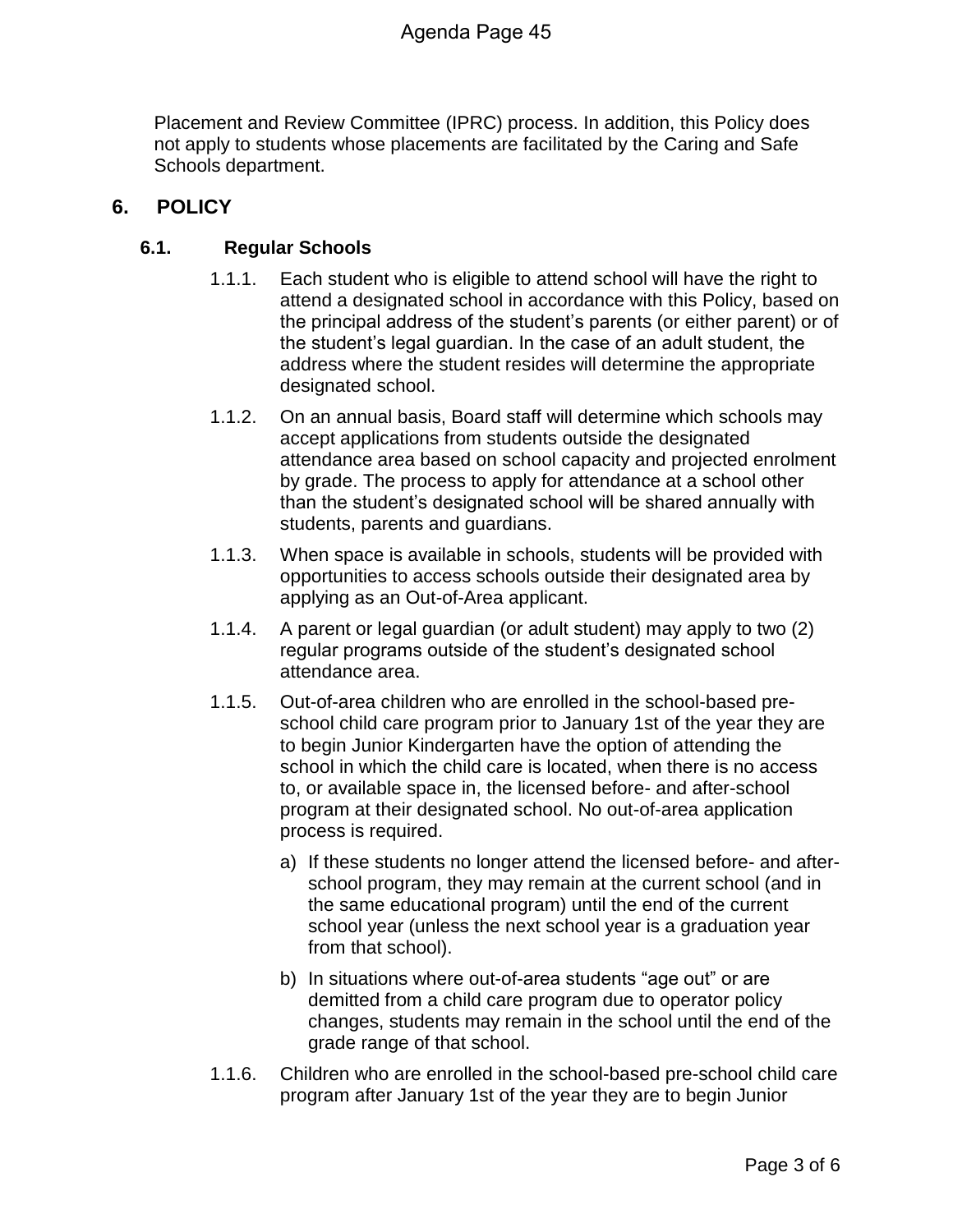Placement and Review Committee (IPRC) process. In addition, this Policy does not apply to students whose placements are facilitated by the Caring and Safe Schools department.

## **6. POLICY**

#### **6.1. Regular Schools**

- 1.1.1. Each student who is eligible to attend school will have the right to attend a designated school in accordance with this Policy, based on the principal address of the student's parents (or either parent) or of the student's legal guardian. In the case of an adult student, the address where the student resides will determine the appropriate designated school.
- 1.1.2. On an annual basis, Board staff will determine which schools may accept applications from students outside the designated attendance area based on school capacity and projected enrolment by grade. The process to apply for attendance at a school other than the student's designated school will be shared annually with students, parents and guardians.
- 1.1.3. When space is available in schools, students will be provided with opportunities to access schools outside their designated area by applying as an Out-of-Area applicant.
- 1.1.4. A parent or legal guardian (or adult student) may apply to two (2) regular programs outside of the student's designated school attendance area.
- 1.1.5. Out-of-area children who are enrolled in the school-based preschool child care program prior to January 1st of the year they are to begin Junior Kindergarten have the option of attending the school in which the child care is located, when there is no access to, or available space in, the licensed before- and after-school program at their designated school. No out-of-area application process is required.
	- a) If these students no longer attend the licensed before- and afterschool program, they may remain at the current school (and in the same educational program) until the end of the current school year (unless the next school year is a graduation year from that school).
	- b) In situations where out-of-area students "age out" or are demitted from a child care program due to operator policy changes, students may remain in the school until the end of the grade range of that school.
- 1.1.6. Children who are enrolled in the school-based pre-school child care program after January 1st of the year they are to begin Junior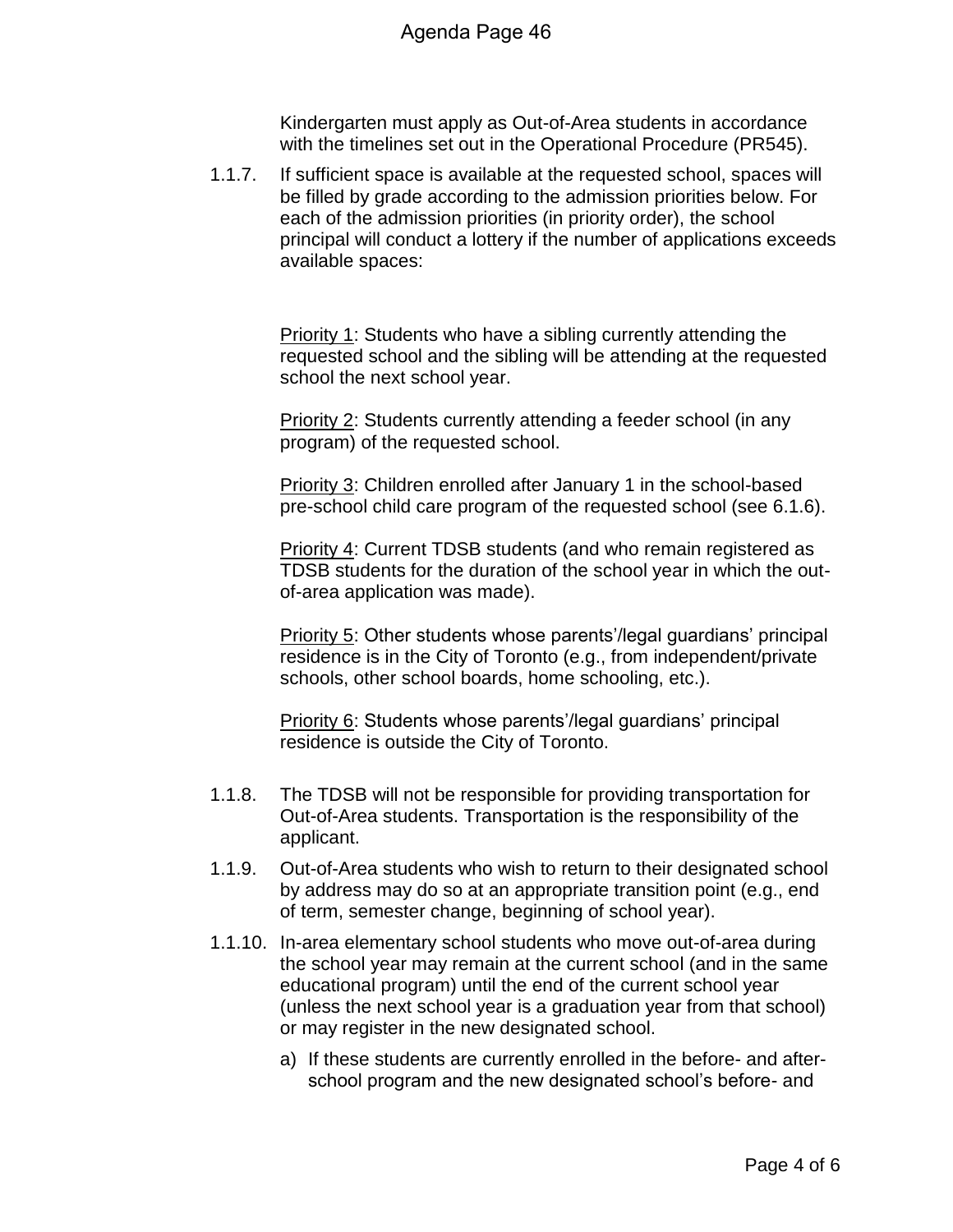Kindergarten must apply as Out-of-Area students in accordance with the timelines set out in the Operational Procedure (PR545).

1.1.7. If sufficient space is available at the requested school, spaces will be filled by grade according to the admission priorities below. For each of the admission priorities (in priority order), the school principal will conduct a lottery if the number of applications exceeds available spaces:

> Priority 1: Students who have a sibling currently attending the requested school and the sibling will be attending at the requested school the next school year.

Priority 2: Students currently attending a feeder school (in any program) of the requested school.

Priority 3: Children enrolled after January 1 in the school-based pre-school child care program of the requested school (see 6.1.6).

Priority 4: Current TDSB students (and who remain registered as TDSB students for the duration of the school year in which the outof-area application was made).

Priority 5: Other students whose parents'/legal guardians' principal residence is in the City of Toronto (e.g., from independent/private schools, other school boards, home schooling, etc.).

Priority 6: Students whose parents'/legal guardians' principal residence is outside the City of Toronto.

- 1.1.8. The TDSB will not be responsible for providing transportation for Out-of-Area students. Transportation is the responsibility of the applicant.
- 1.1.9. Out-of-Area students who wish to return to their designated school by address may do so at an appropriate transition point (e.g., end of term, semester change, beginning of school year).
- 1.1.10. In-area elementary school students who move out-of-area during the school year may remain at the current school (and in the same educational program) until the end of the current school year (unless the next school year is a graduation year from that school) or may register in the new designated school.
	- a) If these students are currently enrolled in the before- and afterschool program and the new designated school's before- and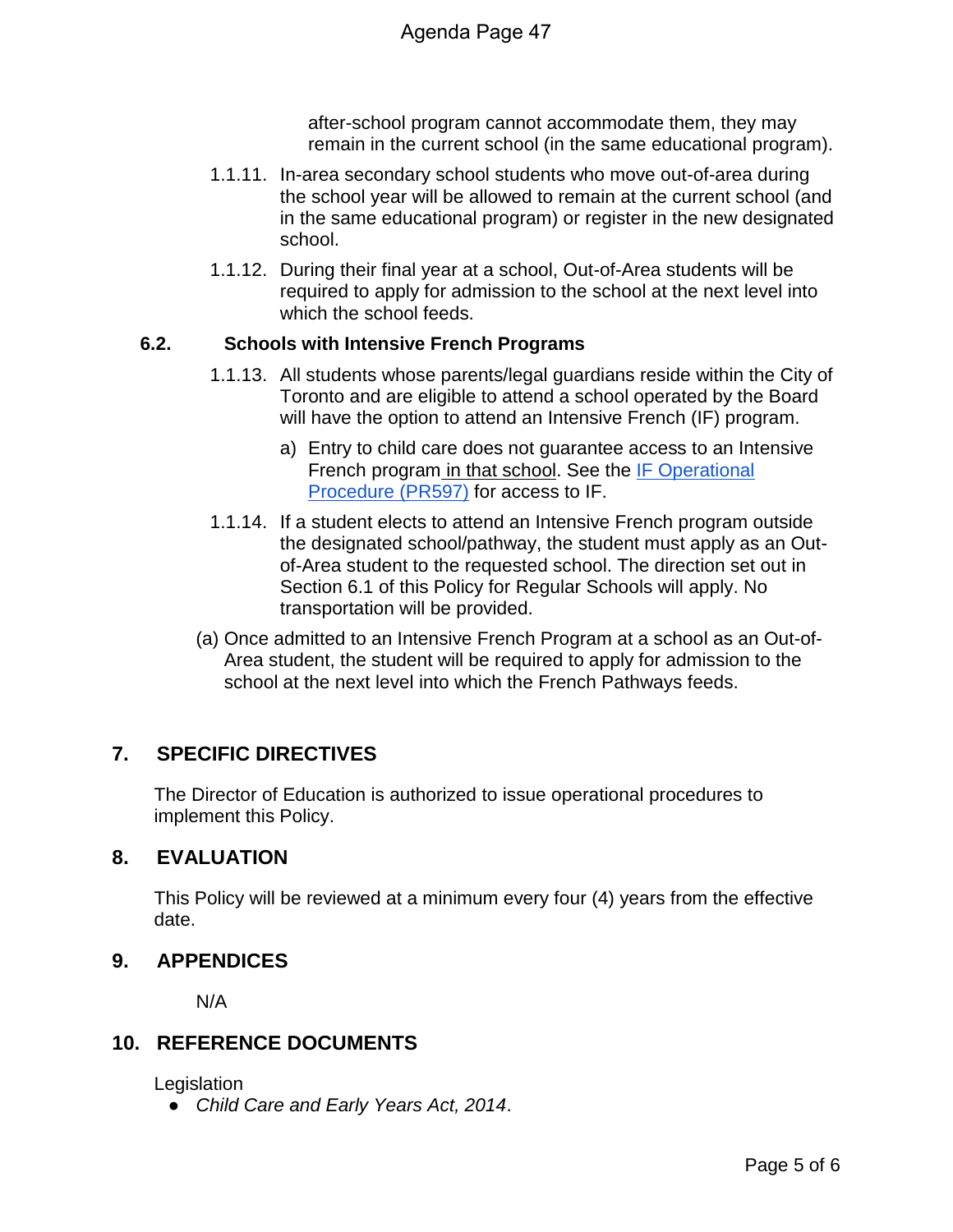after-school program cannot accommodate them, they may remain in the current school (in the same educational program).

- 1.1.11. In-area secondary school students who move out-of-area during the school year will be allowed to remain at the current school (and in the same educational program) or register in the new designated school.
- 1.1.12. During their final year at a school, Out-of-Area students will be required to apply for admission to the school at the next level into which the school feeds.

#### **6.2. Schools with Intensive French Programs**

- 1.1.13. All students whose parents/legal guardians reside within the City of Toronto and are eligible to attend a school operated by the Board will have the option to attend an Intensive French (IF) program.
	- a) Entry to child care does not guarantee access to an Intensive French program in that school. See the IF Operational Procedure (PR597) for access to IF.
- 1.1.14. If a student elects to attend an Intensive French program outside the designated school/pathway, the student must apply as an Outof-Area student to the requested school. The direction set out in Section 6.1 of this Policy for Regular Schools will apply. No transportation will be provided.
- (a) Once admitted to an Intensive French Program at a school as an Out-of-Area student, the student will be required to apply for admission to the school at the next level into which the French Pathways feeds.

## **7. SPECIFIC DIRECTIVES**

The Director of Education is authorized to issue operational procedures to implement this Policy.

## **8. EVALUATION**

This Policy will be reviewed at a minimum every four (4) years from the effective date.

#### **9. APPENDICES**

N/A

#### **10. REFERENCE DOCUMENTS**

**Legislation** 

● *Child Care and Early Years Act, 2014*.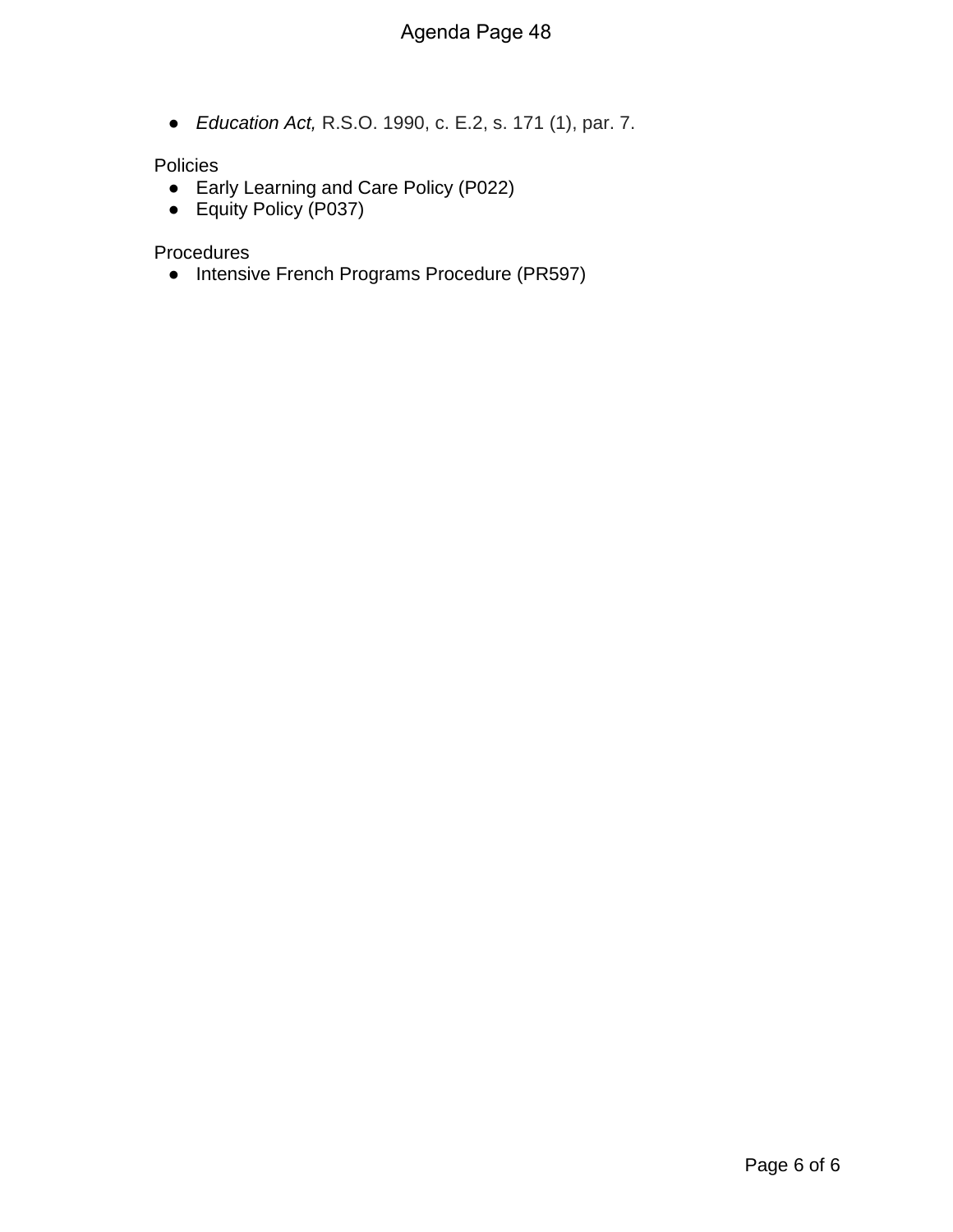● *Education Act,* R.S.O. 1990, c. E.2, s. 171 (1), par. 7.

#### Policies

- Early Learning and Care Policy (P022)
- Equity Policy (P037)

Procedures

● Intensive French Programs Procedure (PR597)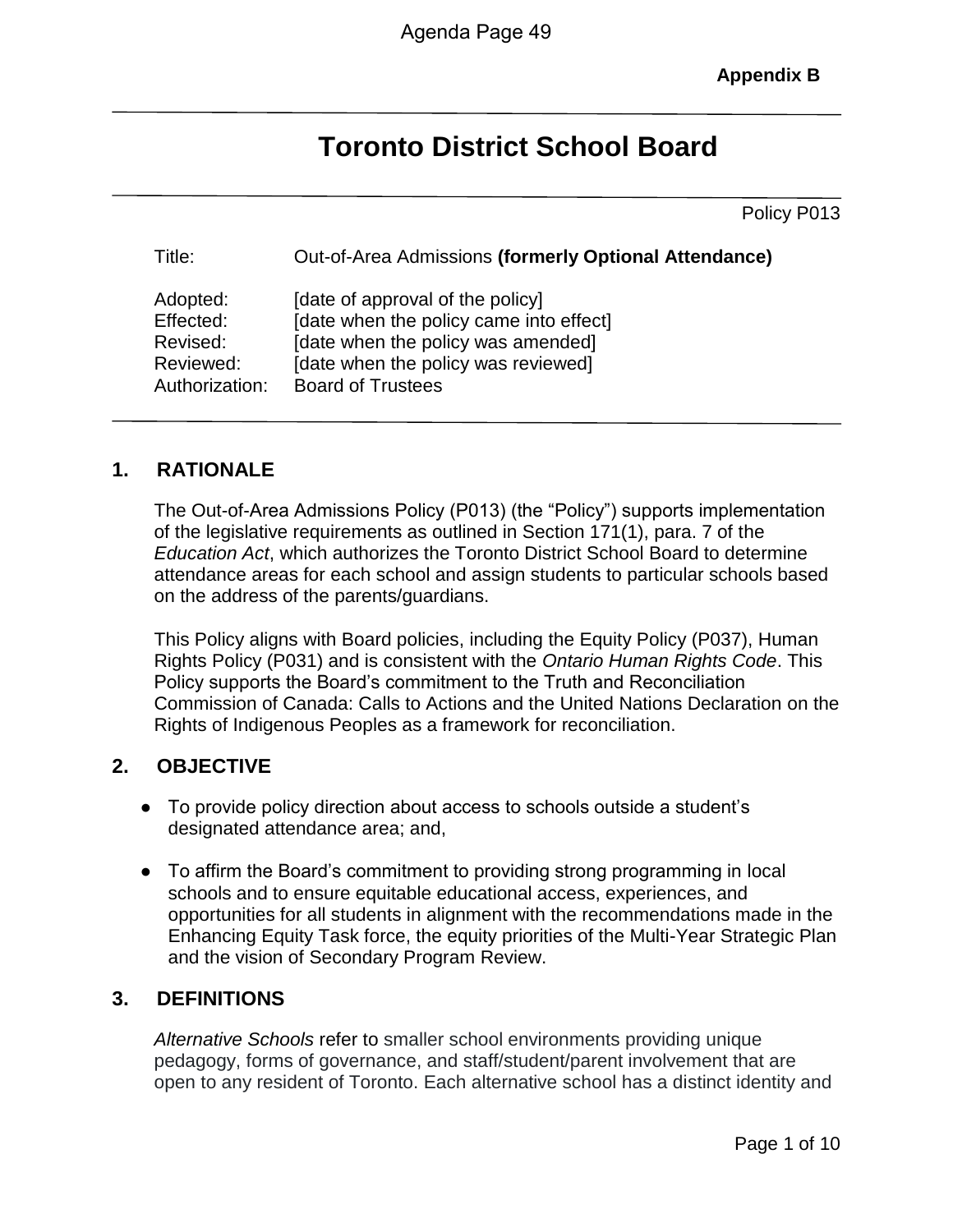**Appendix B**

# **Toronto District School Board**

Policy P013

| Title:         | Out-of-Area Admissions (formerly Optional Attendance) |
|----------------|-------------------------------------------------------|
| Adopted:       | [date of approval of the policy]                      |
| Effected:      | [date when the policy came into effect]               |
| Revised:       | [date when the policy was amended]                    |
| Reviewed:      | [date when the policy was reviewed]                   |
| Authorization: | <b>Board of Trustees</b>                              |

## **1. RATIONALE**

The Out-of-Area Admissions Policy (P013) (the "Policy") supports implementation of the legislative requirements as outlined in Section 171(1), para. 7 of the *Education Act*, which authorizes the Toronto District School Board to determine attendance areas for each school and assign students to particular schools based on the address of the parents/guardians.

This Policy aligns with Board policies, including the Equity Policy (P037), Human Rights Policy (P031) and is consistent with the *Ontario Human Rights Code*. This Policy supports the Board's commitment to the Truth and Reconciliation Commission of Canada: Calls to Actions and the United Nations Declaration on the Rights of Indigenous Peoples as a framework for reconciliation.

## **2. OBJECTIVE**

- To provide policy direction about access to schools outside a student's designated attendance area; and,
- To affirm the Board's commitment to providing strong programming in local schools and to ensure equitable educational access, experiences, and opportunities for all students in alignment with the recommendations made in the Enhancing Equity Task force, the equity priorities of the Multi-Year Strategic Plan and the vision of Secondary Program Review.

#### **3. DEFINITIONS**

*Alternative Schools* refer to smaller school environments providing unique pedagogy, forms of governance, and staff/student/parent involvement that are open to any resident of Toronto. Each alternative school has a distinct identity and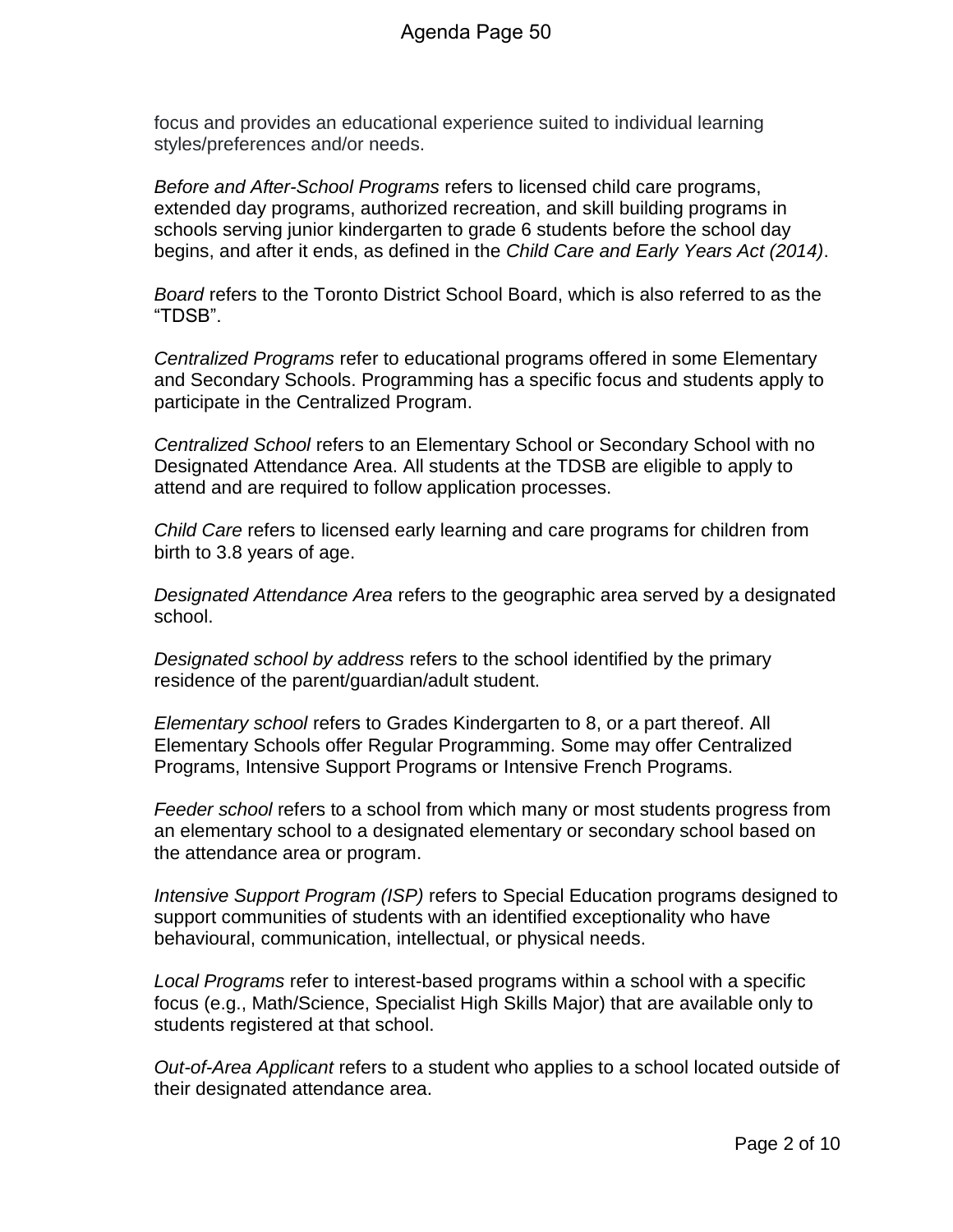focus and provides an educational experience suited to individual learning styles/preferences and/or needs.

*Before and After-School Programs* refers to licensed child care programs, extended day programs, authorized recreation, and skill building programs in schools serving junior kindergarten to grade 6 students before the school day begins, and after it ends, as defined in the *Child Care and Early Years Act (2014)*.

*Board* refers to the Toronto District School Board, which is also referred to as the "TDSB".

*Centralized Programs* refer to educational programs offered in some Elementary and Secondary Schools. Programming has a specific focus and students apply to participate in the Centralized Program.

*Centralized School* refers to an Elementary School or Secondary School with no Designated Attendance Area. All students at the TDSB are eligible to apply to attend and are required to follow application processes.

*Child Care* refers to licensed early learning and care programs for children from birth to 3.8 years of age.

*Designated Attendance Area* refers to the geographic area served by a designated school.

*Designated school by address* refers to the school identified by the primary residence of the parent/guardian/adult student.

*Elementary school* refers to Grades Kindergarten to 8, or a part thereof. All Elementary Schools offer Regular Programming. Some may offer Centralized Programs, Intensive Support Programs or Intensive French Programs.

*Feeder school* refers to a school from which many or most students progress from an elementary school to a designated elementary or secondary school based on the attendance area or program.

*Intensive Support Program (ISP)* refers to Special Education programs designed to support communities of students with an identified exceptionality who have behavioural, communication, intellectual, or physical needs.

*Local Programs* refer to interest-based programs within a school with a specific focus (e.g., Math/Science, Specialist High Skills Major) that are available only to students registered at that school.

*Out-of-Area Applicant* refers to a student who applies to a school located outside of their designated attendance area.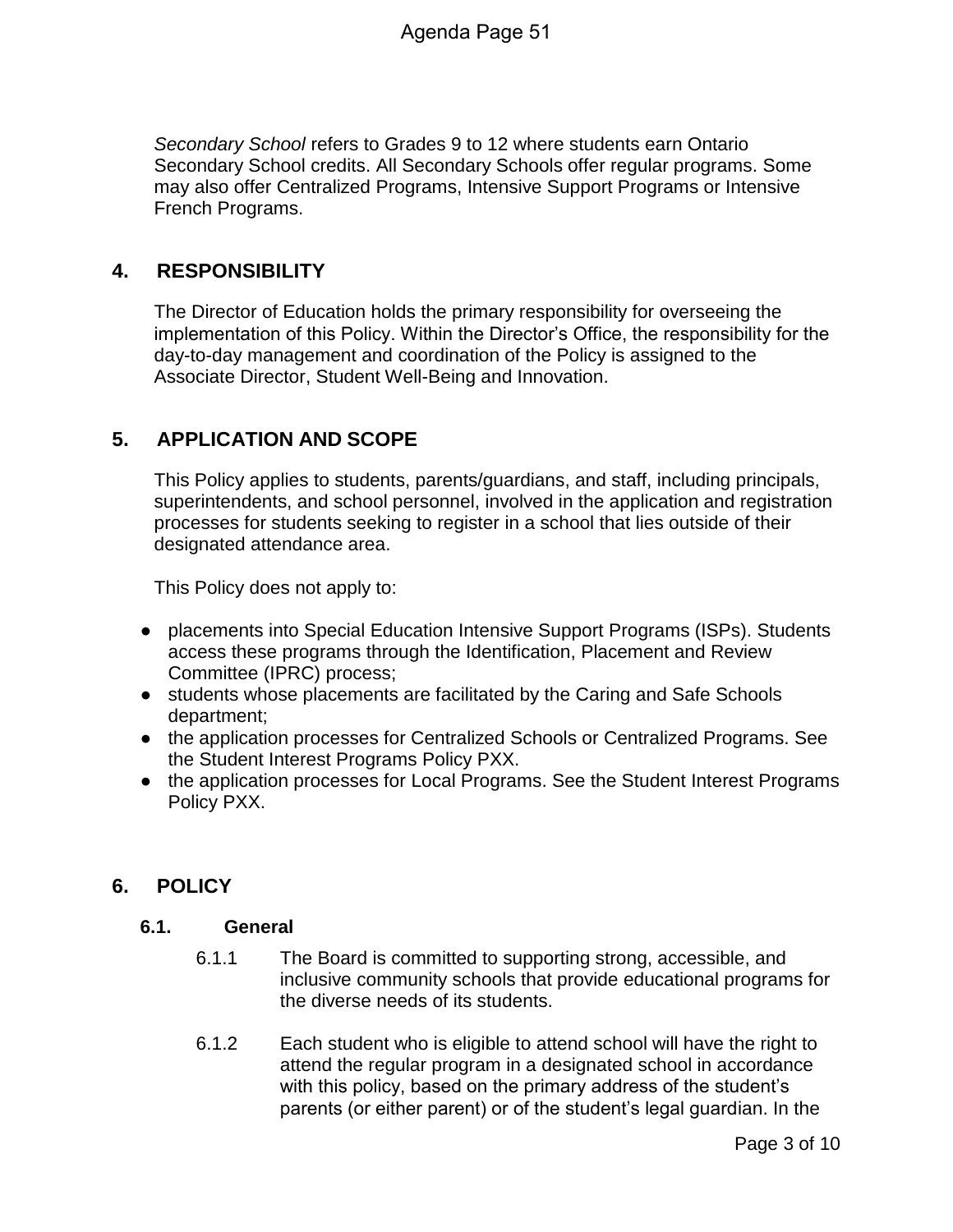*Secondary School* refers to Grades 9 to 12 where students earn Ontario Secondary School credits. All Secondary Schools offer regular programs. Some may also offer Centralized Programs, Intensive Support Programs or Intensive French Programs.

#### **4. RESPONSIBILITY**

The Director of Education holds the primary responsibility for overseeing the implementation of this Policy. Within the Director's Office, the responsibility for the day-to-day management and coordination of the Policy is assigned to the Associate Director, Student Well-Being and Innovation.

## **5. APPLICATION AND SCOPE**

This Policy applies to students, parents/guardians, and staff, including principals, superintendents, and school personnel, involved in the application and registration processes for students seeking to register in a school that lies outside of their designated attendance area.

This Policy does not apply to:

- placements into Special Education Intensive Support Programs (ISPs). Students access these programs through the Identification, Placement and Review Committee (IPRC) process;
- students whose placements are facilitated by the Caring and Safe Schools department;
- the application processes for Centralized Schools or Centralized Programs. See the Student Interest Programs Policy PXX.
- the application processes for Local Programs. See the Student Interest Programs Policy PXX.

## **6. POLICY**

#### **6.1. General**

- 6.1.1 The Board is committed to supporting strong, accessible, and inclusive community schools that provide educational programs for the diverse needs of its students.
- 6.1.2 Each student who is eligible to attend school will have the right to attend the regular program in a designated school in accordance with this policy, based on the primary address of the student's parents (or either parent) or of the student's legal guardian. In the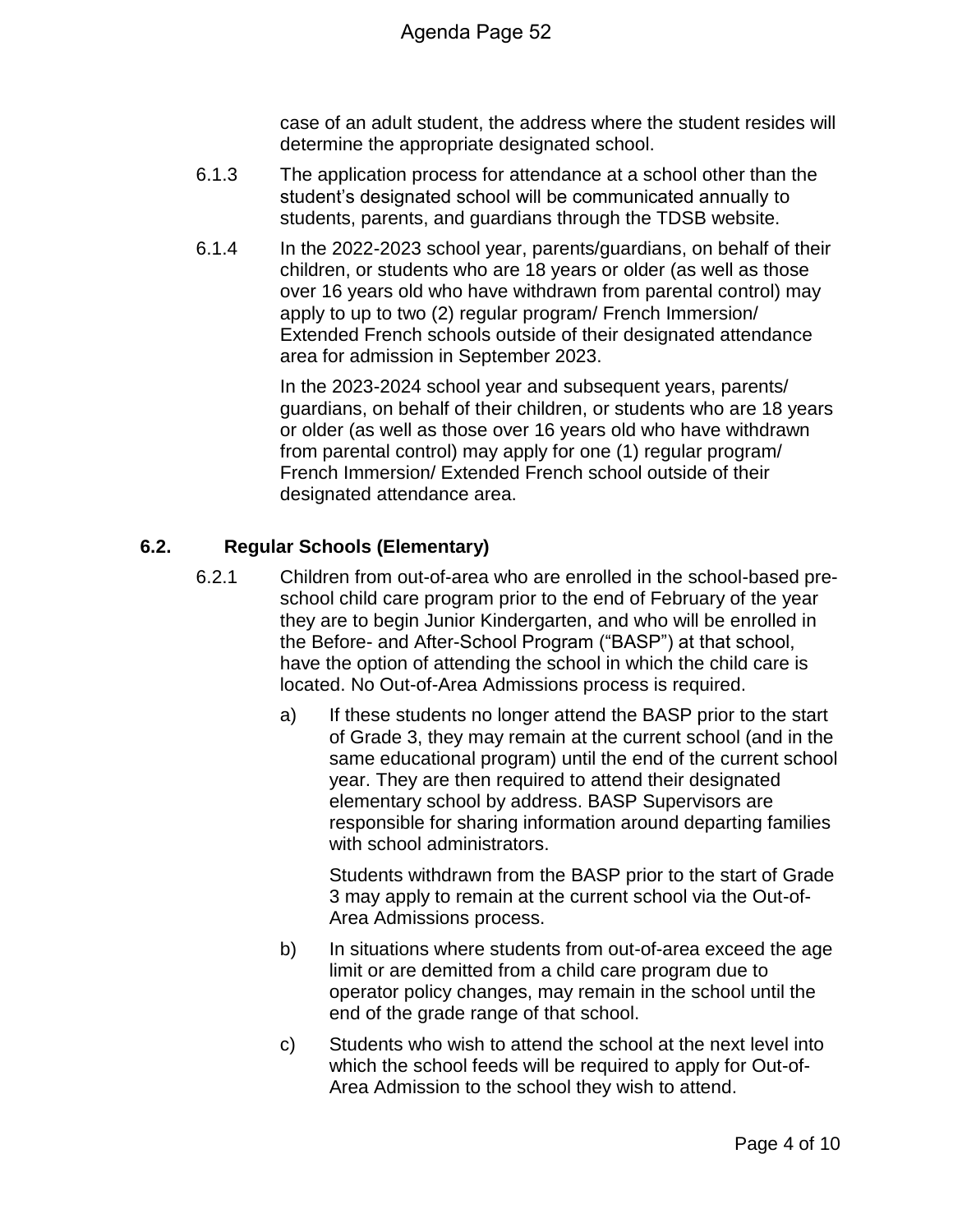case of an adult student, the address where the student resides will determine the appropriate designated school.

- 6.1.3 The application process for attendance at a school other than the student's designated school will be communicated annually to students, parents, and guardians through the TDSB website.
- 6.1.4 In the 2022-2023 school year, parents/guardians, on behalf of their children, or students who are 18 years or older (as well as those over 16 years old who have withdrawn from parental control) may apply to up to two (2) regular program/ French Immersion/ Extended French schools outside of their designated attendance area for admission in September 2023.

In the 2023-2024 school year and subsequent years, parents/ guardians, on behalf of their children, or students who are 18 years or older (as well as those over 16 years old who have withdrawn from parental control) may apply for one (1) regular program/ French Immersion/ Extended French school outside of their designated attendance area.

#### **6.2. Regular Schools (Elementary)**

- 6.2.1 Children from out-of-area who are enrolled in the school-based preschool child care program prior to the end of February of the year they are to begin Junior Kindergarten, and who will be enrolled in the Before- and After-School Program ("BASP") at that school, have the option of attending the school in which the child care is located. No Out-of-Area Admissions process is required.
	- a) If these students no longer attend the BASP prior to the start of Grade 3, they may remain at the current school (and in the same educational program) until the end of the current school year. They are then required to attend their designated elementary school by address. BASP Supervisors are responsible for sharing information around departing families with school administrators.

Students withdrawn from the BASP prior to the start of Grade 3 may apply to remain at the current school via the Out-of-Area Admissions process.

- b) In situations where students from out-of-area exceed the age limit or are demitted from a child care program due to operator policy changes, may remain in the school until the end of the grade range of that school.
- c) Students who wish to attend the school at the next level into which the school feeds will be required to apply for Out-of-Area Admission to the school they wish to attend.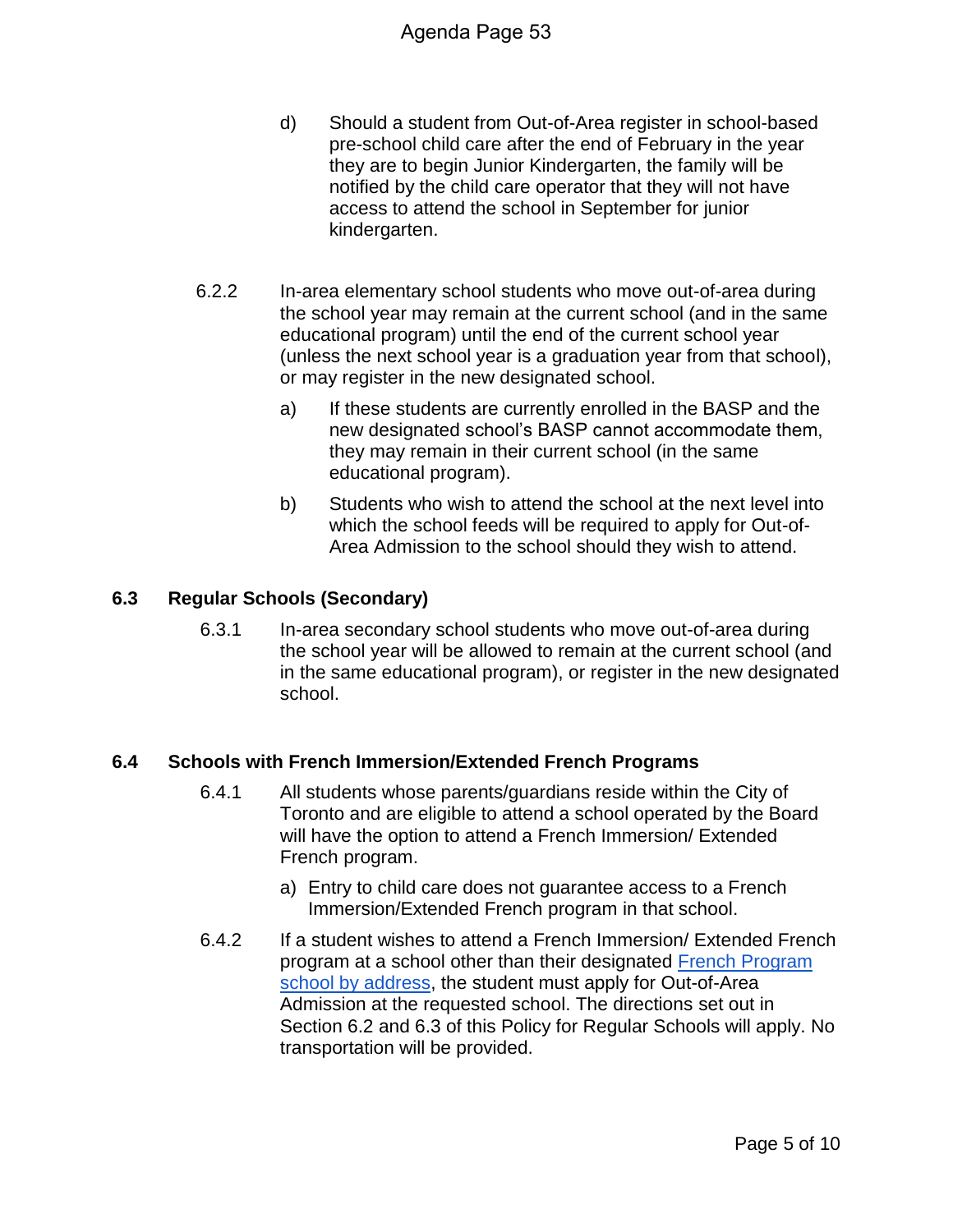- d) Should a student from Out-of-Area register in school-based pre-school child care after the end of February in the year they are to begin Junior Kindergarten, the family will be notified by the child care operator that they will not have access to attend the school in September for junior kindergarten.
- 6.2.2 In-area elementary school students who move out-of-area during the school year may remain at the current school (and in the same educational program) until the end of the current school year (unless the next school year is a graduation year from that school), or may register in the new designated school.
	- a) If these students are currently enrolled in the BASP and the new designated school's BASP cannot accommodate them, they may remain in their current school (in the same educational program).
	- b) Students who wish to attend the school at the next level into which the school feeds will be required to apply for Out-of-Area Admission to the school should they wish to attend.

#### **6.3 Regular Schools (Secondary)**

6.3.1 In-area secondary school students who move out-of-area during the school year will be allowed to remain at the current school (and in the same educational program), or register in the new designated school.

#### **6.4 Schools with French Immersion/Extended French Programs**

- 6.4.1 All students whose parents/guardians reside within the City of Toronto and are eligible to attend a school operated by the Board will have the option to attend a French Immersion/ Extended French program.
	- a) Entry to child care does not guarantee access to a French Immersion/Extended French program in that school.
- 6.4.2 If a student wishes to attend a French Immersion/ Extended French program at a school other than their designated French Program school by address, the student must apply for Out-of-Area Admission at the requested school. The directions set out in Section 6.2 and 6.3 of this Policy for Regular Schools will apply. No transportation will be provided.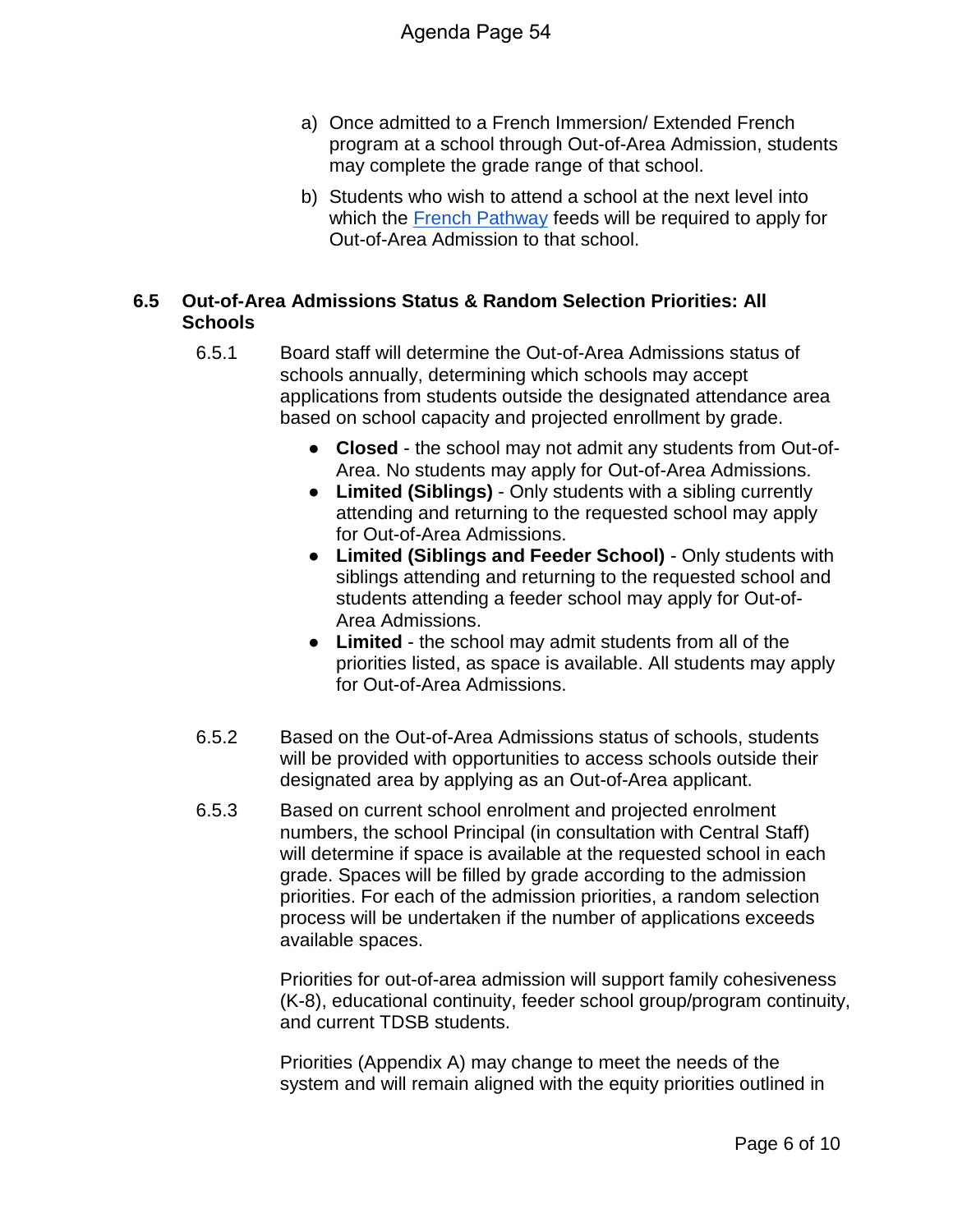- a) Once admitted to a French Immersion/ Extended French program at a school through Out-of-Area Admission, students may complete the grade range of that school.
- b) Students who wish to attend a school at the next level into which the French Pathway feeds will be required to apply for Out-of-Area Admission to that school.

#### **6.5 Out-of-Area Admissions Status & Random Selection Priorities: All Schools**

- 6.5.1 Board staff will determine the Out-of-Area Admissions status of schools annually, determining which schools may accept applications from students outside the designated attendance area based on school capacity and projected enrollment by grade.
	- **Closed** the school may not admit any students from Out-of-Area. No students may apply for Out-of-Area Admissions.
	- **Limited (Siblings)** Only students with a sibling currently attending and returning to the requested school may apply for Out-of-Area Admissions.
	- **Limited (Siblings and Feeder School)** Only students with siblings attending and returning to the requested school and students attending a feeder school may apply for Out-of-Area Admissions.
	- **Limited** the school may admit students from all of the priorities listed, as space is available. All students may apply for Out-of-Area Admissions.
- 6.5.2 Based on the Out-of-Area Admissions status of schools, students will be provided with opportunities to access schools outside their designated area by applying as an Out-of-Area applicant.
- 6.5.3 Based on current school enrolment and projected enrolment numbers, the school Principal (in consultation with Central Staff) will determine if space is available at the requested school in each grade. Spaces will be filled by grade according to the admission priorities. For each of the admission priorities, a random selection process will be undertaken if the number of applications exceeds available spaces.

Priorities for out-of-area admission will support family cohesiveness (K-8), educational continuity, feeder school group/program continuity, and current TDSB students.

Priorities (Appendix A) may change to meet the needs of the system and will remain aligned with the equity priorities outlined in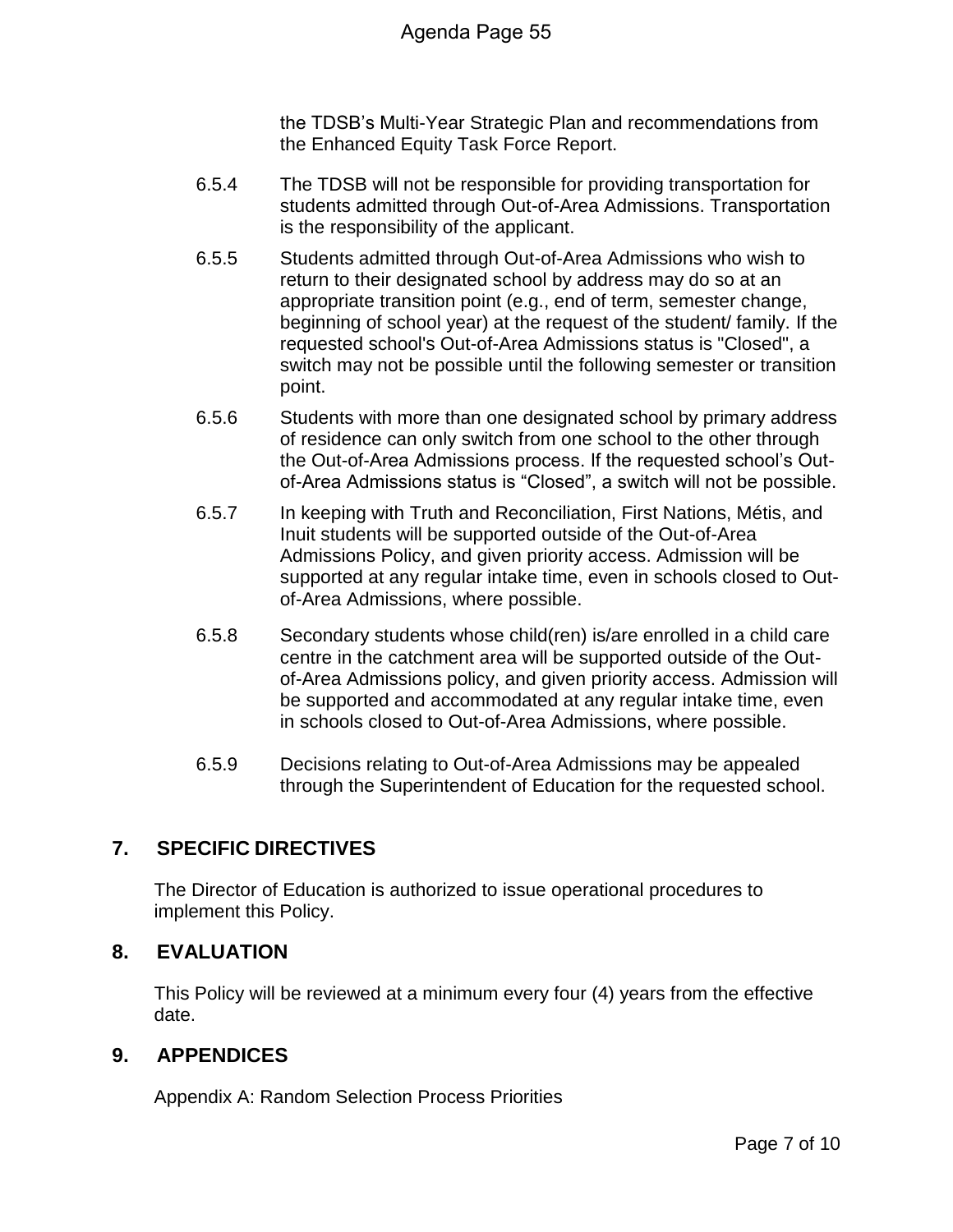the TDSB's Multi-Year Strategic Plan and recommendations from the Enhanced Equity Task Force Report.

- 6.5.4 The TDSB will not be responsible for providing transportation for students admitted through Out-of-Area Admissions. Transportation is the responsibility of the applicant.
- 6.5.5 Students admitted through Out-of-Area Admissions who wish to return to their designated school by address may do so at an appropriate transition point (e.g., end of term, semester change, beginning of school year) at the request of the student/ family. If the requested school's Out-of-Area Admissions status is "Closed", a switch may not be possible until the following semester or transition point.
- 6.5.6 Students with more than one designated school by primary address of residence can only switch from one school to the other through the Out-of-Area Admissions process. If the requested school's Outof-Area Admissions status is "Closed", a switch will not be possible.
- 6.5.7 In keeping with Truth and Reconciliation, First Nations, Métis, and Inuit students will be supported outside of the Out-of-Area Admissions Policy, and given priority access. Admission will be supported at any regular intake time, even in schools closed to Outof-Area Admissions, where possible.
- 6.5.8 Secondary students whose child(ren) is/are enrolled in a child care centre in the catchment area will be supported outside of the Outof-Area Admissions policy, and given priority access. Admission will be supported and accommodated at any regular intake time, even in schools closed to Out-of-Area Admissions, where possible.
- 6.5.9 Decisions relating to Out-of-Area Admissions may be appealed through the Superintendent of Education for the requested school.

# **7. SPECIFIC DIRECTIVES**

The Director of Education is authorized to issue operational procedures to implement this Policy.

## **8. EVALUATION**

This Policy will be reviewed at a minimum every four (4) years from the effective date.

## **9. APPENDICES**

Appendix A: Random Selection Process Priorities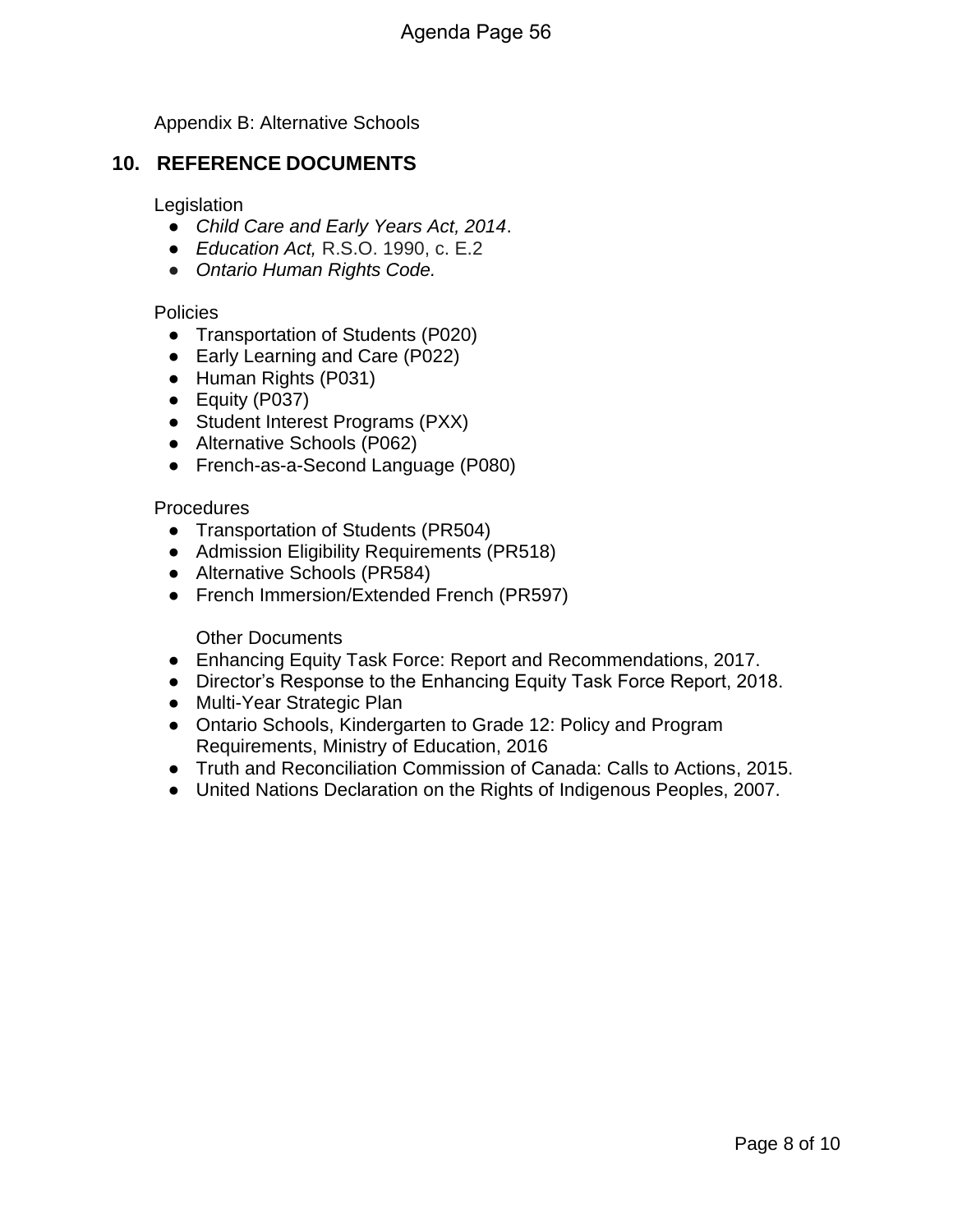Appendix B: Alternative Schools

#### **10. REFERENCE DOCUMENTS**

#### **Legislation**

- *Child Care and Early Years Act, 2014*.
- *Education Act,* R.S.O. 1990, c. E.2
- *Ontario Human Rights Code.*

#### **Policies**

- Transportation of Students (P020)
- Early Learning and Care (P022)
- Human Rights (P031)
- Equity (P037)
- Student Interest Programs (PXX)
- Alternative Schools (P062)
- French-as-a-Second Language (P080)

#### Procedures

- Transportation of Students (PR504)
- Admission Eligibility Requirements (PR518)
- Alternative Schools (PR584)
- French Immersion/Extended French (PR597)

#### Other Documents

- Enhancing Equity Task Force: Report and Recommendations, 2017.
- Director's Response to the Enhancing Equity Task Force Report, 2018.
- Multi-Year Strategic Plan
- Ontario Schools, Kindergarten to Grade 12: Policy and Program Requirements, Ministry of Education, 2016
- Truth and Reconciliation Commission of Canada: Calls to Actions, 2015.
- United Nations Declaration on the Rights of Indigenous Peoples, 2007.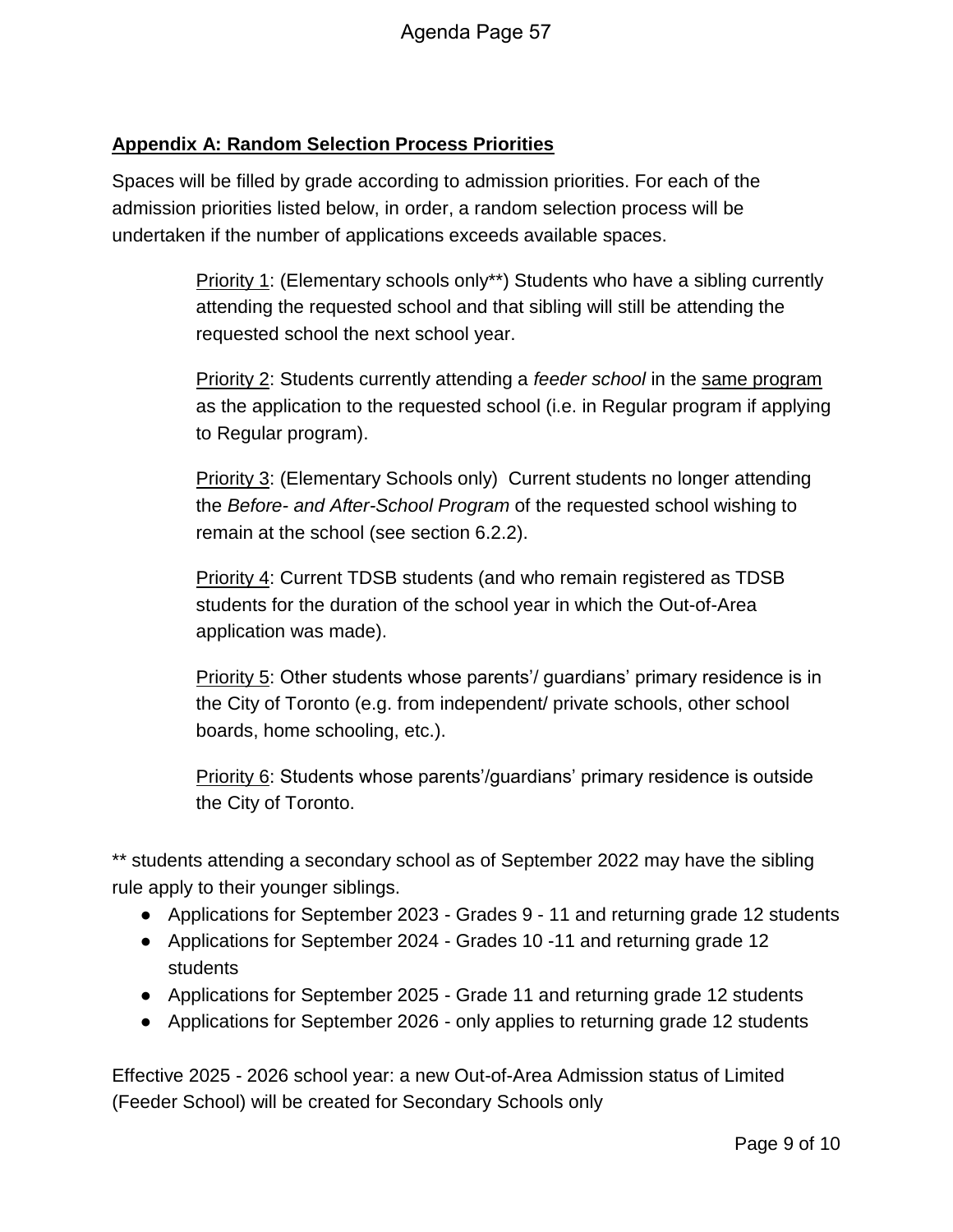#### **Appendix A: Random Selection Process Priorities**

Spaces will be filled by grade according to admission priorities. For each of the admission priorities listed below, in order, a random selection process will be undertaken if the number of applications exceeds available spaces.

> Priority 1: (Elementary schools only\*\*) Students who have a sibling currently attending the requested school and that sibling will still be attending the requested school the next school year.

Priority 2: Students currently attending a *feeder school* in the same program as the application to the requested school (i.e. in Regular program if applying to Regular program).

**Priority 3: (Elementary Schools only) Current students no longer attending** the *Before- and After-School Program* of the requested school wishing to remain at the school (see section 6.2.2).

Priority 4: Current TDSB students (and who remain registered as TDSB students for the duration of the school year in which the Out-of-Area application was made).

Priority 5: Other students whose parents'/ guardians' primary residence is in the City of Toronto (e.g. from independent/ private schools, other school boards, home schooling, etc.).

Priority 6: Students whose parents'/guardians' primary residence is outside the City of Toronto.

\*\* students attending a secondary school as of September 2022 may have the sibling rule apply to their younger siblings.

- Applications for September 2023 Grades 9 11 and returning grade 12 students
- Applications for September 2024 Grades 10 -11 and returning grade 12 students
- Applications for September 2025 Grade 11 and returning grade 12 students
- Applications for September 2026 only applies to returning grade 12 students

Effective 2025 - 2026 school year: a new Out-of-Area Admission status of Limited (Feeder School) will be created for Secondary Schools only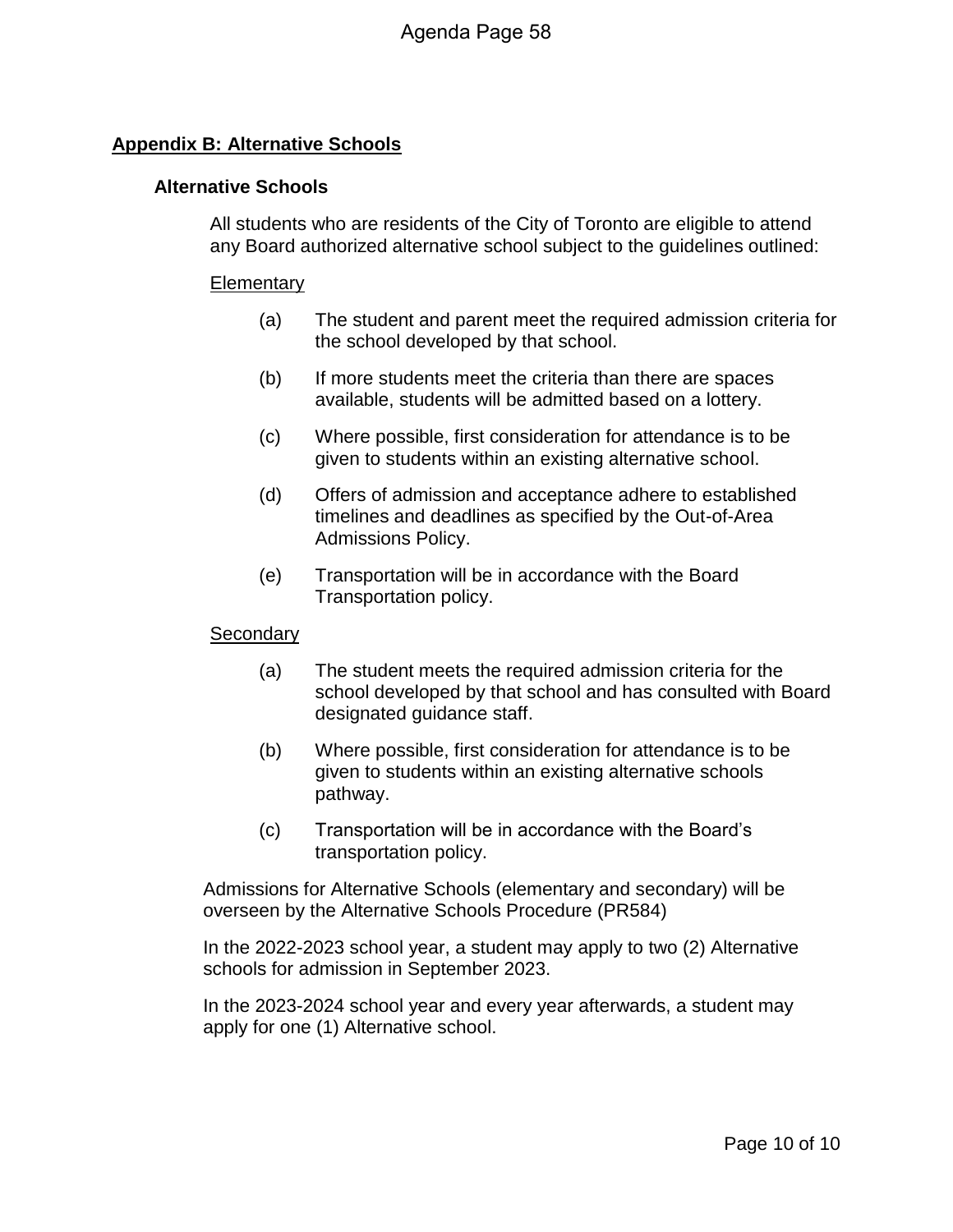#### **Appendix B: Alternative Schools**

#### **Alternative Schools**

All students who are residents of the City of Toronto are eligible to attend any Board authorized alternative school subject to the guidelines outlined:

#### **Elementary**

- (a) The student and parent meet the required admission criteria for the school developed by that school.
- (b) If more students meet the criteria than there are spaces available, students will be admitted based on a lottery.
- (c) Where possible, first consideration for attendance is to be given to students within an existing alternative school.
- (d) Offers of admission and acceptance adhere to established timelines and deadlines as specified by the Out-of-Area Admissions Policy.
- (e) Transportation will be in accordance with the Board Transportation policy.

#### **Secondary**

- (a) The student meets the required admission criteria for the school developed by that school and has consulted with Board designated guidance staff.
- (b) Where possible, first consideration for attendance is to be given to students within an existing alternative schools pathway.
- (c) Transportation will be in accordance with the Board's transportation policy.

Admissions for Alternative Schools (elementary and secondary) will be overseen by the Alternative Schools Procedure (PR584)

In the 2022-2023 school year, a student may apply to two (2) Alternative schools for admission in September 2023.

In the 2023-2024 school year and every year afterwards, a student may apply for one (1) Alternative school.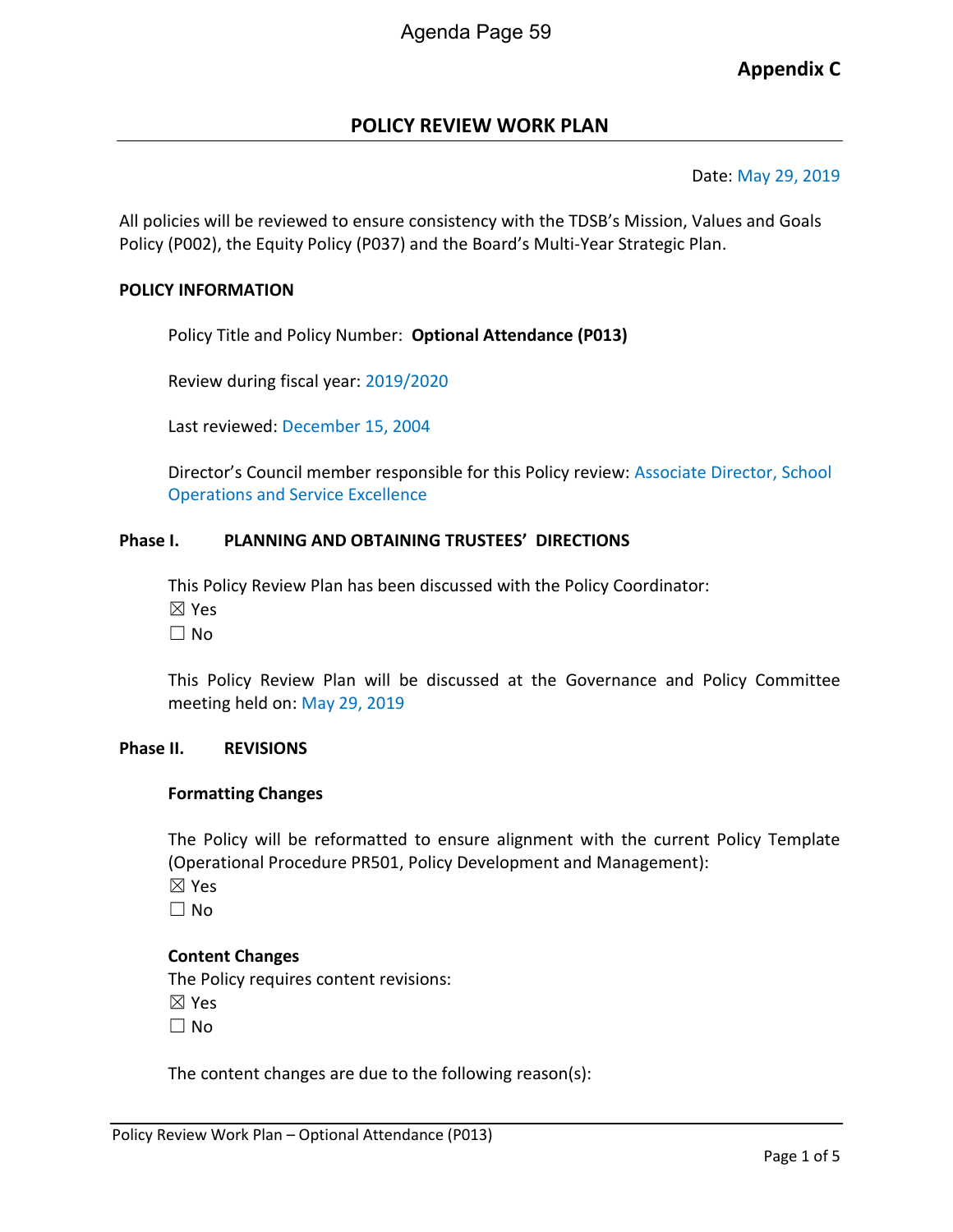## **Appendix C**

#### **POLICY REVIEW WORK PLAN**

#### Date: May 29, 2019

All policies will be reviewed to ensure consistency with the TDSB's Mission, Values and Goals Policy (P002), the Equity Policy (P037) and the Board's Multi-Year Strategic Plan.

#### **POLICY INFORMATION**

Policy Title and Policy Number: **Optional Attendance (P013)**

Review during fiscal year: 2019/2020

Last reviewed: December 15, 2004

Director's Council member responsible for this Policy review: Associate Director, School Operations and Service Excellence

#### **Phase I. PLANNING AND OBTAINING TRUSTEES' DIRECTIONS**

This Policy Review Plan has been discussed with the Policy Coordinator: ☒ Yes

☐ No

This Policy Review Plan will be discussed at the Governance and Policy Committee meeting held on: May 29, 2019

#### **Phase II. REVISIONS**

#### **Formatting Changes**

The Policy will be reformatted to ensure alignment with the current Policy Template (Operational Procedure PR501, Policy Development and Management):

☒ Yes

 $\Box$  No

#### **Content Changes**

The Policy requires content revisions:

☒ Yes

☐ No

The content changes are due to the following reason(s):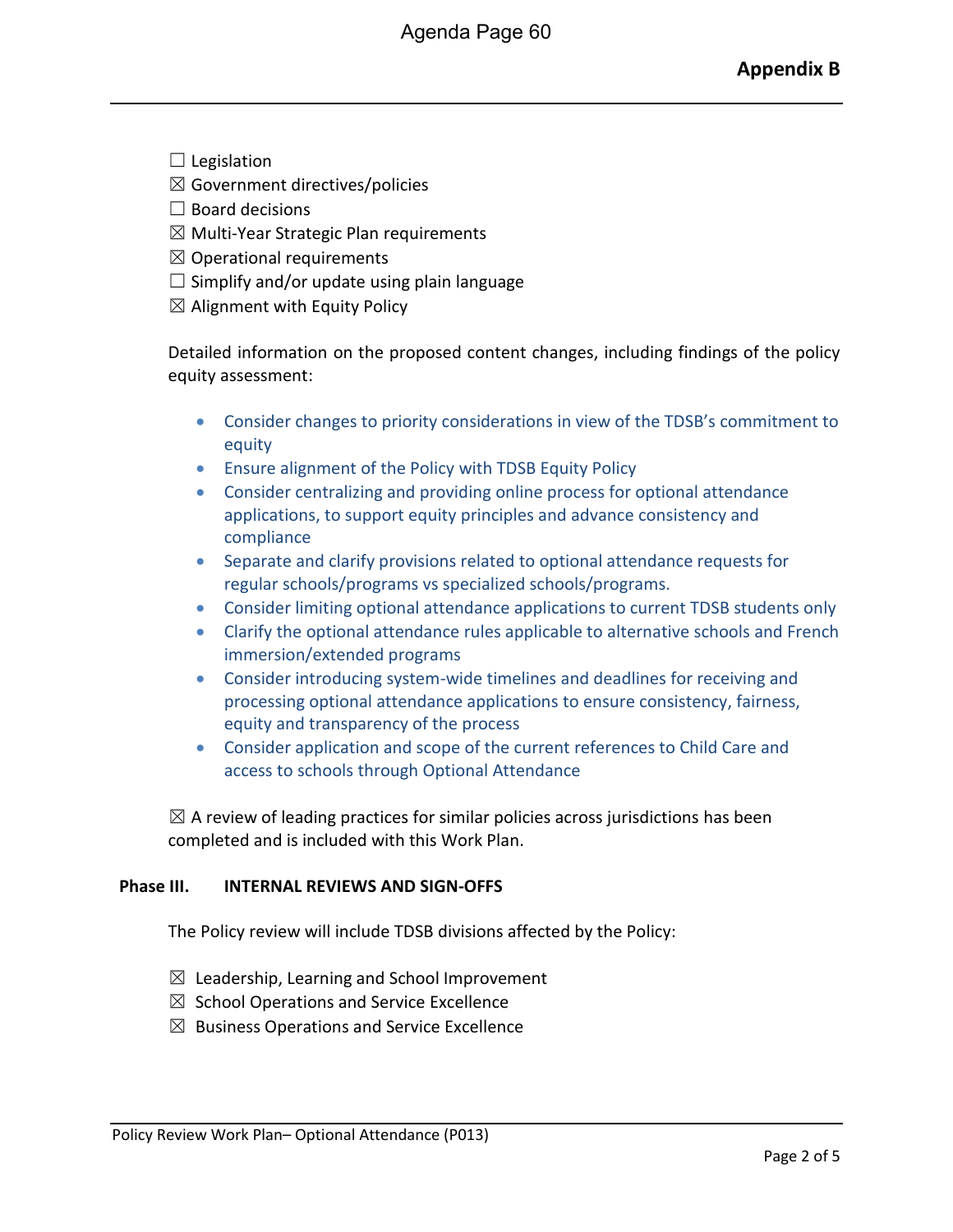- $\Box$  Legislation
- $\boxtimes$  Government directives/policies
- $\Box$  Board decisions
- $\boxtimes$  Multi-Year Strategic Plan requirements
- $\boxtimes$  Operational requirements
- $\Box$  Simplify and/or update using plain language
- $\boxtimes$  Alignment with Equity Policy

Detailed information on the proposed content changes, including findings of the policy equity assessment:

- Consider changes to priority considerations in view of the TDSB's commitment to equity
- Ensure alignment of the Policy with TDSB Equity Policy
- Consider centralizing and providing online process for optional attendance applications, to support equity principles and advance consistency and compliance
- Separate and clarify provisions related to optional attendance requests for regular schools/programs vs specialized schools/programs.
- Consider limiting optional attendance applications to current TDSB students only
- Clarify the optional attendance rules applicable to alternative schools and French immersion/extended programs
- Consider introducing system-wide timelines and deadlines for receiving and processing optional attendance applications to ensure consistency, fairness, equity and transparency of the process
- Consider application and scope of the current references to Child Care and access to schools through Optional Attendance

 $\boxtimes$  A review of leading practices for similar policies across jurisdictions has been completed and is included with this Work Plan.

#### **Phase III. INTERNAL REVIEWS AND SIGN-OFFS**

The Policy review will include TDSB divisions affected by the Policy:

- $\boxtimes$  Leadership, Learning and School Improvement
- $\boxtimes$  School Operations and Service Excellence
- $\boxtimes$  Business Operations and Service Excellence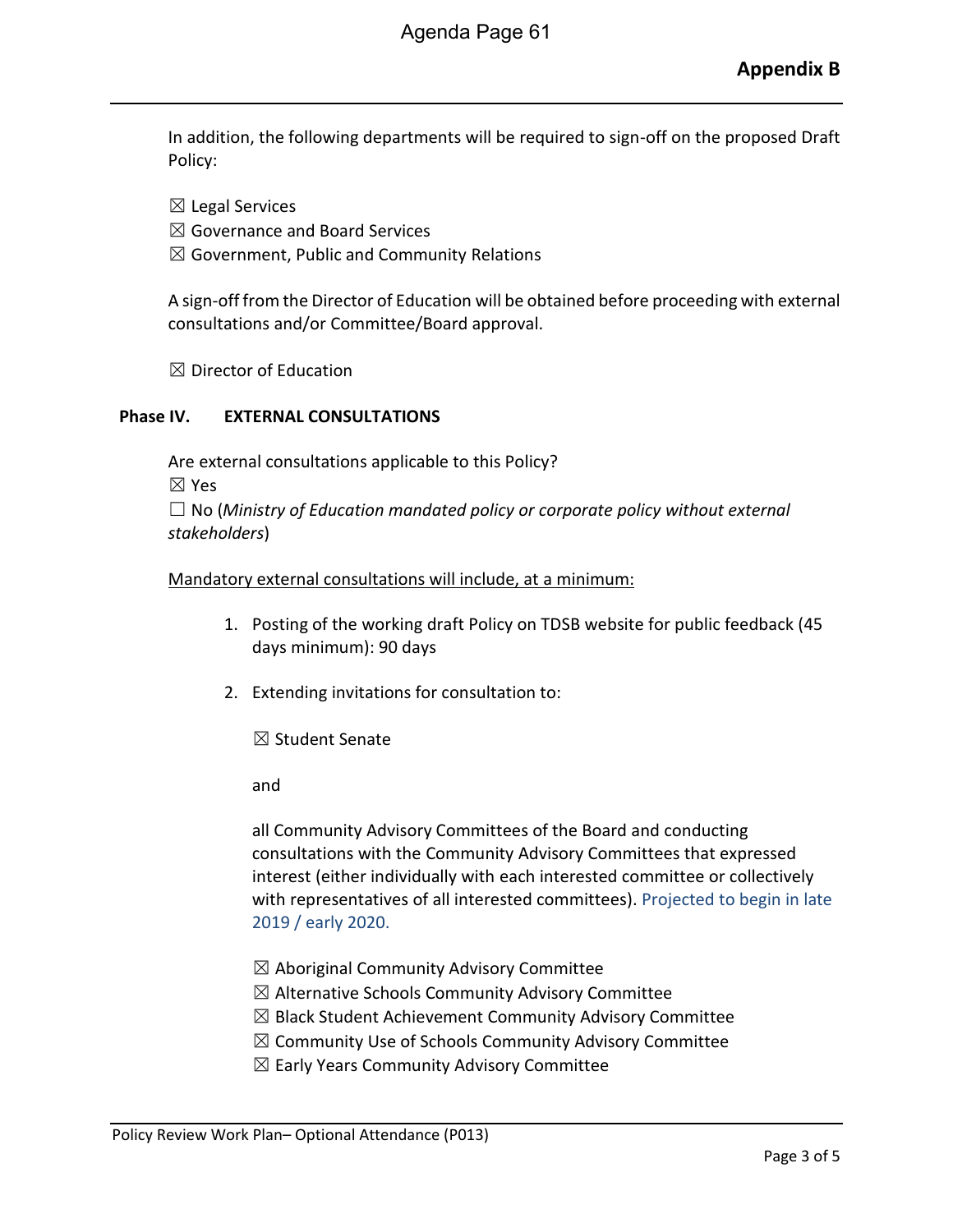In addition, the following departments will be required to sign-off on the proposed Draft Policy:

☒ Legal Services

- $\boxtimes$  Governance and Board Services
- $\boxtimes$  Government, Public and Community Relations

A sign-off from the Director of Education will be obtained before proceeding with external consultations and/or Committee/Board approval.

 $\boxtimes$  Director of Education

#### **Phase IV. EXTERNAL CONSULTATIONS**

Are external consultations applicable to this Policy? ☒ Yes ☐ No (*Ministry of Education mandated policy or corporate policy without external stakeholders*)

#### Mandatory external consultations will include, at a minimum:

- 1. Posting of the working draft Policy on TDSB website for public feedback (45 days minimum): 90 days
- 2. Extending invitations for consultation to:

☒ Student Senate

and

all Community Advisory Committees of the Board and conducting consultations with the Community Advisory Committees that expressed interest (either individually with each interested committee or collectively with representatives of all interested committees). Projected to begin in late 2019 / early 2020.

- $\boxtimes$  Aboriginal Community Advisory Committee
- $\boxtimes$  Alternative Schools Community Advisory Committee
- $\boxtimes$  Black Student Achievement Community Advisory Committee
- $\boxtimes$  Community Use of Schools Community Advisory Committee
- $\boxtimes$  Early Years Community Advisory Committee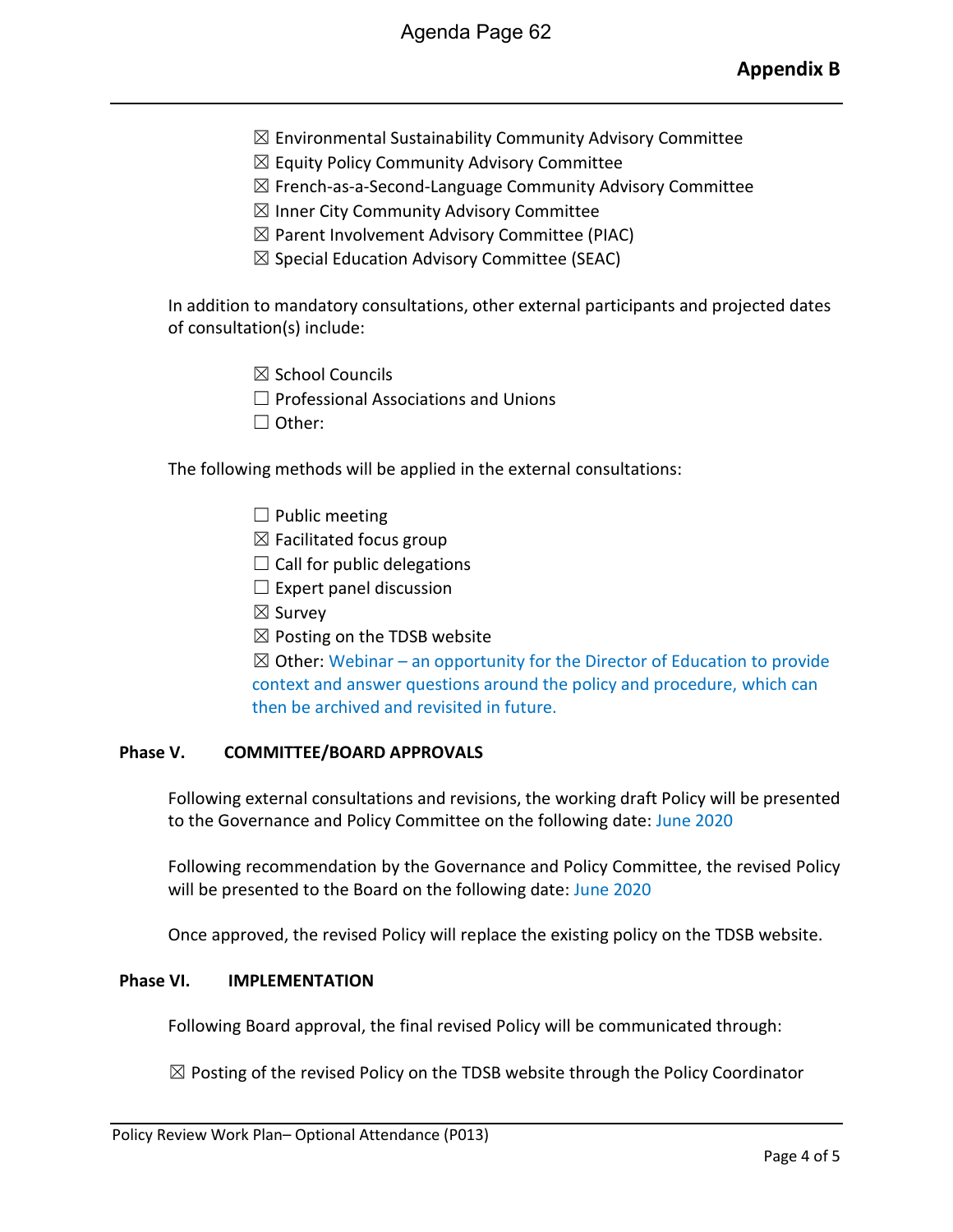- $\boxtimes$  Environmental Sustainability Community Advisory Committee
- $\boxtimes$  Equity Policy Community Advisory Committee
- ☒ French-as-a-Second-Language Community Advisory Committee
- $\boxtimes$  Inner City Community Advisory Committee
- $\boxtimes$  Parent Involvement Advisory Committee (PIAC)
- $\boxtimes$  Special Education Advisory Committee (SEAC)

In addition to mandatory consultations, other external participants and projected dates of consultation(s) include:

- ☒ School Councils
- $\Box$  Professional Associations and Unions
- ☐ Other:

The following methods will be applied in the external consultations:

- $\Box$  Public meeting
- $\boxtimes$  Facilitated focus group
- $\Box$  Call for public delegations
- $\Box$  Expert panel discussion
- ☒ Survey
- $\boxtimes$  Posting on the TDSB website

 $\boxtimes$  Other: Webinar – an opportunity for the Director of Education to provide context and answer questions around the policy and procedure, which can then be archived and revisited in future.

#### **Phase V. COMMITTEE/BOARD APPROVALS**

Following external consultations and revisions, the working draft Policy will be presented to the Governance and Policy Committee on the following date: June 2020

Following recommendation by the Governance and Policy Committee, the revised Policy will be presented to the Board on the following date: June 2020

Once approved, the revised Policy will replace the existing policy on the TDSB website.

#### **Phase VI. IMPLEMENTATION**

Following Board approval, the final revised Policy will be communicated through:

 $\boxtimes$  Posting of the revised Policy on the TDSB website through the Policy Coordinator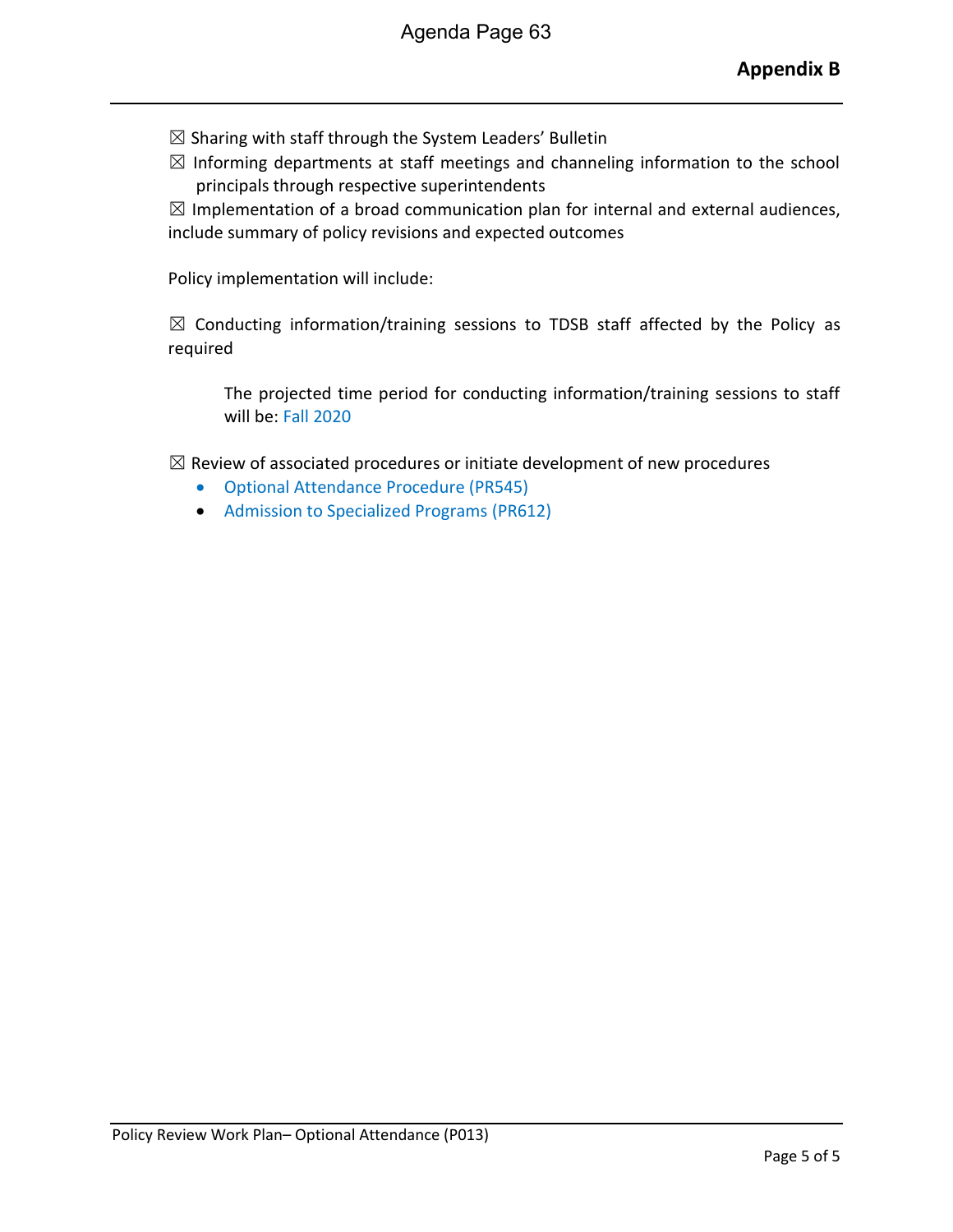- $\boxtimes$  Sharing with staff through the System Leaders' Bulletin
- $\boxtimes$  Informing departments at staff meetings and channeling information to the school principals through respective superintendents

 $\boxtimes$  Implementation of a broad communication plan for internal and external audiences, include summary of policy revisions and expected outcomes

Policy implementation will include:

 $\boxtimes$  Conducting information/training sessions to TDSB staff affected by the Policy as required

The projected time period for conducting information/training sessions to staff will be: Fall 2020

 $\boxtimes$  Review of associated procedures or initiate development of new procedures

- Optional Attendance Procedure (PR545)
- Admission to Specialized Programs (PR612)